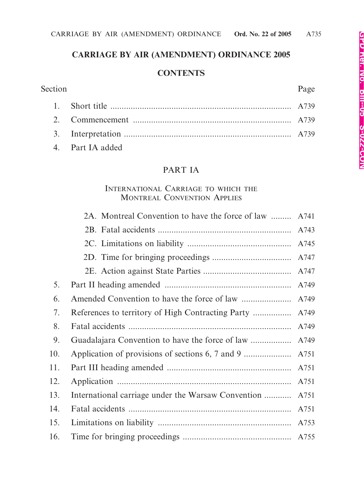# **CARRIAGE BY AIR (AMENDMENT) ORDINANCE 2005**

# **CONTENTS**

#### Section Page

| 4. Part IA added |  |
|------------------|--|

# PART IA

# INTERNATIONAL CARRIAGE TO WHICH THE MONTREAL CONVENTION APPLIES

|     | 2A. Montreal Convention to have the force of law           | A741 |  |  |  |  |  |  |  |
|-----|------------------------------------------------------------|------|--|--|--|--|--|--|--|
|     |                                                            | A743 |  |  |  |  |  |  |  |
|     |                                                            | A745 |  |  |  |  |  |  |  |
|     |                                                            | A747 |  |  |  |  |  |  |  |
|     |                                                            | A747 |  |  |  |  |  |  |  |
| 5.  |                                                            | A749 |  |  |  |  |  |  |  |
| 6.  |                                                            | A749 |  |  |  |  |  |  |  |
| 7.  | A749                                                       |      |  |  |  |  |  |  |  |
| 8.  | A749                                                       |      |  |  |  |  |  |  |  |
| 9.  | A749                                                       |      |  |  |  |  |  |  |  |
| 10. | A751                                                       |      |  |  |  |  |  |  |  |
| 11. | A751                                                       |      |  |  |  |  |  |  |  |
| 12. | A751                                                       |      |  |  |  |  |  |  |  |
| 13. | International carriage under the Warsaw Convention<br>A751 |      |  |  |  |  |  |  |  |
| 14. | A751                                                       |      |  |  |  |  |  |  |  |
| 15. |                                                            | A753 |  |  |  |  |  |  |  |
| 16. | A755                                                       |      |  |  |  |  |  |  |  |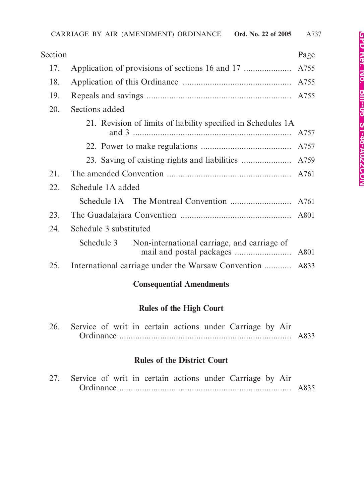| Section |                                                               | Page |  |  |  |  |  |  |  |
|---------|---------------------------------------------------------------|------|--|--|--|--|--|--|--|
| 17.     | A755                                                          |      |  |  |  |  |  |  |  |
| 18.     | A755                                                          |      |  |  |  |  |  |  |  |
| 19.     | A755                                                          |      |  |  |  |  |  |  |  |
| 20.     | Sections added                                                |      |  |  |  |  |  |  |  |
|         | 21. Revision of limits of liability specified in Schedules 1A | A757 |  |  |  |  |  |  |  |
|         |                                                               | A757 |  |  |  |  |  |  |  |
|         |                                                               | A759 |  |  |  |  |  |  |  |
| 21.     |                                                               |      |  |  |  |  |  |  |  |
| 22.     | Schedule 1A added                                             |      |  |  |  |  |  |  |  |
|         |                                                               |      |  |  |  |  |  |  |  |
| 23.     |                                                               |      |  |  |  |  |  |  |  |
| 24.     | Schedule 3 substituted                                        |      |  |  |  |  |  |  |  |
|         | Schedule 3<br>Non-international carriage, and carriage of     | A801 |  |  |  |  |  |  |  |
| 25.     | International carriage under the Warsaw Convention            | A833 |  |  |  |  |  |  |  |
|         |                                                               |      |  |  |  |  |  |  |  |

# **Consequential Amendments**

# **Rules of the High Court**

|  |  |  |  | 26. Service of writ in certain actions under Carriage by Air |      |
|--|--|--|--|--------------------------------------------------------------|------|
|  |  |  |  |                                                              | A833 |

# **Rules of the District Court**

|  |  |  |  | 27. Service of writ in certain actions under Carriage by Air |  |
|--|--|--|--|--------------------------------------------------------------|--|
|  |  |  |  |                                                              |  |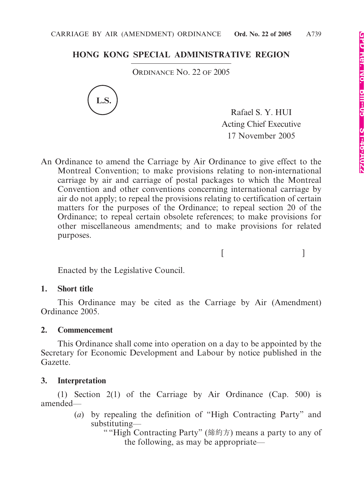# **HONG KONG SPECIAL ADMINISTRATIVE REGION**

ORDINANCE NO. 22 OF 2005



Rafael S. Y. HUI Acting Chief Executive 17 November 2005

An Ordinance to amend the Carriage by Air Ordinance to give effect to the Montreal Convention; to make provisions relating to non-international carriage by air and carriage of postal packages to which the Montreal Convention and other conventions concerning international carriage by air do not apply; to repeal the provisions relating to certification of certain matters for the purposes of the Ordinance; to repeal section 20 of the Ordinance; to repeal certain obsolete references; to make provisions for other miscellaneous amendments; and to make provisions for related purposes.

 $[$   $]$ 

Enacted by the Legislative Council.

### **1. Short title**

This Ordinance may be cited as the Carriage by Air (Amendment) Ordinance 2005.

### **2. Commencement**

This Ordinance shall come into operation on a day to be appointed by the Secretary for Economic Development and Labour by notice published in the Gazette.

### **3. Interpretation**

(1) Section 2(1) of the Carriage by Air Ordinance (Cap. 500) is amended—

- (*a*) by repealing the definition of "High Contracting Party" and substituting—
	- " "High Contracting Party" (締約方) means a party to any of the following, as may be appropriate—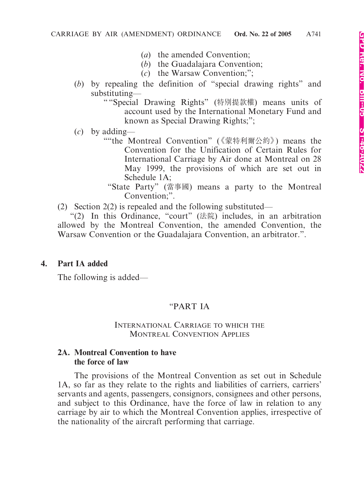- (*a*) the amended Convention;
- (*b*) the Guadalajara Convention;
- (*c*) the Warsaw Convention;";
- (*b*) by repealing the definition of "special drawing rights" and substituting—
	- " "Special Drawing Rights" (特別提款權) means units of account used by the International Monetary Fund and known as Special Drawing Rights;";
- (*c*) by adding—
	- ""the Montreal Convention" (《蒙特利爾公約》) means the Convention for the Unification of Certain Rules for International Carriage by Air done at Montreal on 28 May 1999, the provisions of which are set out in Schedule 1A;
		- "State Party" (當事國) means a party to the Montreal Convention;".
- (2) Section 2(2) is repealed and the following substituted—

"(2) In this Ordinance, "court" (法院) includes, in an arbitration allowed by the Montreal Convention, the amended Convention, the Warsaw Convention or the Guadalajara Convention, an arbitrator.".

### **4. Part IA added**

The following is added—

# "PART IA

#### INTERNATIONAL CARRIAGE TO WHICH THE MONTREAL CONVENTION APPLIES

# **2A. Montreal Convention to have the force of law**

The provisions of the Montreal Convention as set out in Schedule 1A, so far as they relate to the rights and liabilities of carriers, carriers' servants and agents, passengers, consignors, consignees and other persons, and subject to this Ordinance, have the force of law in relation to any carriage by air to which the Montreal Convention applies, irrespective of the nationality of the aircraft performing that carriage.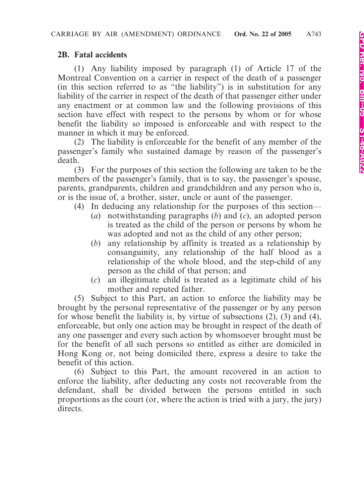# **2B. Fatal accidents**

(1) Any liability imposed by paragraph (1) of Article 17 of the Montreal Convention on a carrier in respect of the death of a passenger (in this section referred to as "the liability") is in substitution for any liability of the carrier in respect of the death of that passenger either under any enactment or at common law and the following provisions of this section have effect with respect to the persons by whom or for whose benefit the liability so imposed is enforceable and with respect to the manner in which it may be enforced.

(2) The liability is enforceable for the benefit of any member of the passenger's family who sustained damage by reason of the passenger's death.

(3) For the purposes of this section the following are taken to be the members of the passenger's family, that is to say, the passenger's spouse, parents, grandparents, children and grandchildren and any person who is, or is the issue of, a brother, sister, uncle or aunt of the passenger.

- (4) In deducing any relationship for the purposes of this section—
	- (*a*) notwithstanding paragraphs (*b*) and (*c*), an adopted person is treated as the child of the person or persons by whom he was adopted and not as the child of any other person;
	- (*b*) any relationship by affinity is treated as a relationship by consanguinity, any relationship of the half blood as a relationship of the whole blood, and the step-child of any person as the child of that person; and
	- (*c*) an illegitimate child is treated as a legitimate child of his mother and reputed father.

(5) Subject to this Part, an action to enforce the liability may be brought by the personal representative of the passenger or by any person for whose benefit the liability is, by virtue of subsections (2), (3) and (4), enforceable, but only one action may be brought in respect of the death of any one passenger and every such action by whomsoever brought must be for the benefit of all such persons so entitled as either are domiciled in Hong Kong or, not being domiciled there, express a desire to take the benefit of this action.

(6) Subject to this Part, the amount recovered in an action to enforce the liability, after deducting any costs not recoverable from the defendant, shall be divided between the persons entitled in such proportions as the court (or, where the action is tried with a jury, the jury) directs.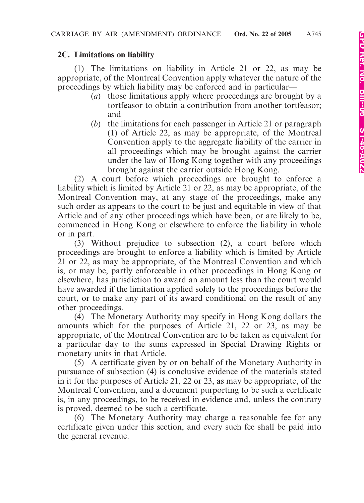# **2C. Limitations on liability**

(1) The limitations on liability in Article 21 or 22, as may be appropriate, of the Montreal Convention apply whatever the nature of the proceedings by which liability may be enforced and in particular—

- (*a*) those limitations apply where proceedings are brought by a tortfeasor to obtain a contribution from another tortfeasor; and
- (*b*) the limitations for each passenger in Article 21 or paragraph (1) of Article 22, as may be appropriate, of the Montreal Convention apply to the aggregate liability of the carrier in all proceedings which may be brought against the carrier under the law of Hong Kong together with any proceedings brought against the carrier outside Hong Kong.

(2) A court before which proceedings are brought to enforce a liability which is limited by Article 21 or 22, as may be appropriate, of the Montreal Convention may, at any stage of the proceedings, make any such order as appears to the court to be just and equitable in view of that Article and of any other proceedings which have been, or are likely to be, commenced in Hong Kong or elsewhere to enforce the liability in whole or in part.

(3) Without prejudice to subsection (2), a court before which proceedings are brought to enforce a liability which is limited by Article 21 or 22, as may be appropriate, of the Montreal Convention and which is, or may be, partly enforceable in other proceedings in Hong Kong or elsewhere, has jurisdiction to award an amount less than the court would have awarded if the limitation applied solely to the proceedings before the court, or to make any part of its award conditional on the result of any other proceedings.

(4) The Monetary Authority may specify in Hong Kong dollars the amounts which for the purposes of Article 21, 22 or 23, as may be appropriate, of the Montreal Convention are to be taken as equivalent for a particular day to the sums expressed in Special Drawing Rights or monetary units in that Article.

(5) A certificate given by or on behalf of the Monetary Authority in pursuance of subsection (4) is conclusive evidence of the materials stated in it for the purposes of Article 21, 22 or 23, as may be appropriate, of the Montreal Convention, and a document purporting to be such a certificate is, in any proceedings, to be received in evidence and, unless the contrary is proved, deemed to be such a certificate.

(6) The Monetary Authority may charge a reasonable fee for any certificate given under this section, and every such fee shall be paid into the general revenue.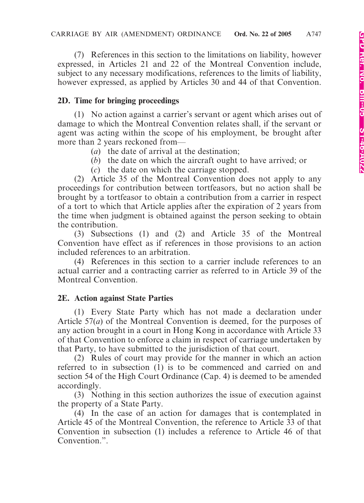(7) References in this section to the limitations on liability, however expressed, in Articles 21 and 22 of the Montreal Convention include, subject to any necessary modifications, references to the limits of liability, however expressed, as applied by Articles 30 and 44 of that Convention.

# **2D. Time for bringing proceedings**

(1) No action against a carrier's servant or agent which arises out of damage to which the Montreal Convention relates shall, if the servant or agent was acting within the scope of his employment, be brought after more than 2 years reckoned from—

- (*a*) the date of arrival at the destination;
- (*b*) the date on which the aircraft ought to have arrived; or
- (*c*) the date on which the carriage stopped.

(2) Article 35 of the Montreal Convention does not apply to any proceedings for contribution between tortfeasors, but no action shall be brought by a tortfeasor to obtain a contribution from a carrier in respect of a tort to which that Article applies after the expiration of 2 years from the time when judgment is obtained against the person seeking to obtain the contribution.

(3) Subsections (1) and (2) and Article 35 of the Montreal Convention have effect as if references in those provisions to an action included references to an arbitration.

(4) References in this section to a carrier include references to an actual carrier and a contracting carrier as referred to in Article 39 of the Montreal Convention.

# **2E. Action against State Parties**

(1) Every State Party which has not made a declaration under Article 57(*a*) of the Montreal Convention is deemed, for the purposes of any action brought in a court in Hong Kong in accordance with Article 33 of that Convention to enforce a claim in respect of carriage undertaken by that Party, to have submitted to the jurisdiction of that court.

(2) Rules of court may provide for the manner in which an action referred to in subsection (1) is to be commenced and carried on and section 54 of the High Court Ordinance (Cap. 4) is deemed to be amended accordingly.

(3) Nothing in this section authorizes the issue of execution against the property of a State Party.

(4) In the case of an action for damages that is contemplated in Article 45 of the Montreal Convention, the reference to Article 33 of that Convention in subsection (1) includes a reference to Article 46 of that Convention.".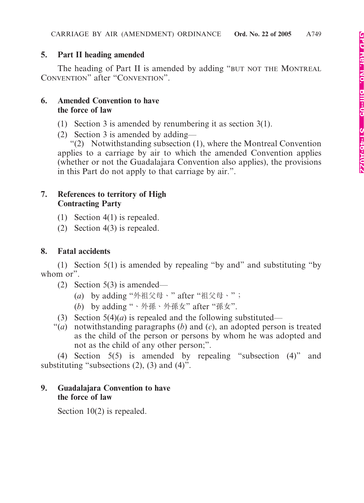# **5. Part II heading amended**

The heading of Part II is amended by adding "BUT NOT THE MONTREAL CONVENTION" after "CONVENTION".

# **6. Amended Convention to have the force of law**

- (1) Section 3 is amended by renumbering it as section 3(1).
- (2) Section 3 is amended by adding—

"(2) Notwithstanding subsection (1), where the Montreal Convention applies to a carriage by air to which the amended Convention applies (whether or not the Guadalajara Convention also applies), the provisions in this Part do not apply to that carriage by air.".

# **7. References to territory of High Contracting Party**

- (1) Section 4(1) is repealed.
- (2) Section 4(3) is repealed.

# **8. Fatal accidents**

(1) Section 5(1) is amended by repealing "by and" and substituting "by whom or".

- (2) Section 5(3) is amended—
	- (*a*) by adding "外祖父母、" after "祖父母、";
	- (*b*) by adding "、外孫、外孫女" after "孫女".
- (3) Section 5(4)(*a*) is repealed and the following substituted—
- "(*a*) notwithstanding paragraphs (*b*) and (*c*), an adopted person is treated as the child of the person or persons by whom he was adopted and not as the child of any other person;".

(4) Section 5(5) is amended by repealing "subsection (4)" and substituting "subsections  $(2)$ ,  $(3)$  and  $(4)$ ".

# **9. Guadalajara Convention to have the force of law**

Section 10(2) is repealed.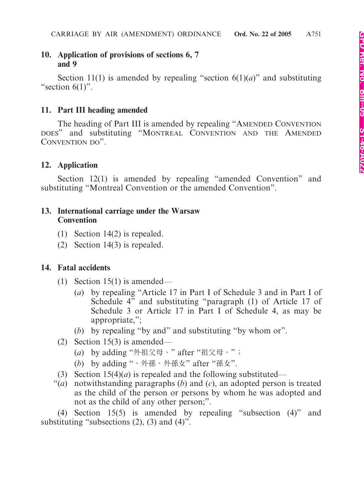**10. Application of provisions of sections 6, 7 and 9**

Section 11(1) is amended by repealing "section  $6(1)(a)$ " and substituting "section  $6(1)$ ".

# **11. Part III heading amended**

The heading of Part III is amended by repealing "AMENDED CONVENTION DOES" and substituting "MONTREAL CONVENTION AND THE AMENDED CONVENTION DO".

# **12. Application**

Section 12(1) is amended by repealing "amended Convention" and substituting "Montreal Convention or the amended Convention".

# **13. International carriage under the Warsaw Convention**

- (1) Section 14(2) is repealed.
- (2) Section 14(3) is repealed.

# **14. Fatal accidents**

- (1) Section 15(1) is amended—
	- (*a*) by repealing "Article 17 in Part I of Schedule 3 and in Part I of Schedule 4<sup>"</sup> and substituting "paragraph (1) of Article 17 of Schedule 3 or Article 17 in Part I of Schedule 4, as may be appropriate,";
	- (*b*) by repealing "by and" and substituting "by whom or".
- (2) Section 15(3) is amended—
	- (*a*) by adding "外祖父母、" after "祖父母、";
	- (*b*) by adding "、外孫、外孫女" after "孫女".
- (3) Section 15(4)(*a*) is repealed and the following substituted—
- "(*a*) notwithstanding paragraphs (*b*) and (*c*), an adopted person is treated as the child of the person or persons by whom he was adopted and not as the child of any other person;".

(4) Section 15(5) is amended by repealing "subsection (4)" and substituting "subsections  $(2)$ ,  $(3)$  and  $(4)$ ".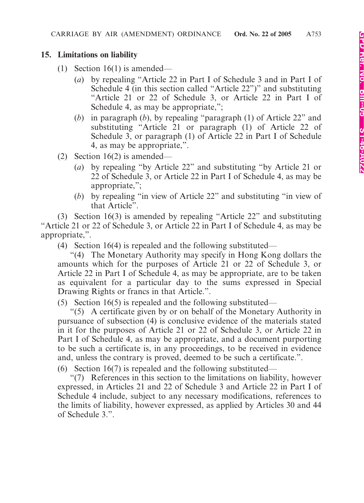# **15. Limitations on liability**

- (1) Section 16(1) is amended—
	- (*a*) by repealing "Article 22 in Part I of Schedule 3 and in Part I of Schedule 4 (in this section called "Article 22")" and substituting "Article 21 or 22 of Schedule 3, or Article 22 in Part I of Schedule 4, as may be appropriate,";
	- (*b*) in paragraph (*b*), by repealing "paragraph (1) of Article 22" and substituting "Article 21 or paragraph (1) of Article 22 of Schedule 3, or paragraph (1) of Article 22 in Part I of Schedule 4, as may be appropriate,".
- (2) Section 16(2) is amended—
	- (*a*) by repealing "by Article 22" and substituting "by Article 21 or 22 of Schedule 3, or Article 22 in Part I of Schedule 4, as may be appropriate,";
	- (*b*) by repealing "in view of Article 22" and substituting "in view of that Article".

(3) Section 16(3) is amended by repealing "Article 22" and substituting "Article 21 or 22 of Schedule 3, or Article 22 in Part I of Schedule 4, as may be appropriate,".

(4) Section 16(4) is repealed and the following substituted—

"(4) The Monetary Authority may specify in Hong Kong dollars the amounts which for the purposes of Article 21 or 22 of Schedule 3, or Article 22 in Part I of Schedule 4, as may be appropriate, are to be taken as equivalent for a particular day to the sums expressed in Special Drawing Rights or francs in that Article.".

(5) Section 16(5) is repealed and the following substituted—

"(5) A certificate given by or on behalf of the Monetary Authority in pursuance of subsection (4) is conclusive evidence of the materials stated in it for the purposes of Article 21 or 22 of Schedule 3, or Article 22 in Part I of Schedule 4, as may be appropriate, and a document purporting to be such a certificate is, in any proceedings, to be received in evidence and, unless the contrary is proved, deemed to be such a certificate.".

(6) Section 16(7) is repealed and the following substituted—

"(7) References in this section to the limitations on liability, however expressed, in Articles 21 and 22 of Schedule 3 and Article 22 in Part I of Schedule 4 include, subject to any necessary modifications, references to the limits of liability, however expressed, as applied by Articles 30 and 44 of Schedule 3.".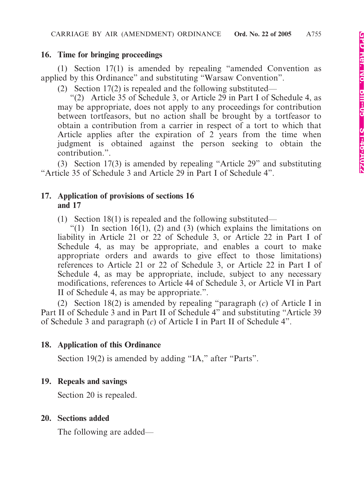# **16. Time for bringing proceedings**

(1) Section 17(1) is amended by repealing "amended Convention as applied by this Ordinance" and substituting "Warsaw Convention".

(2) Section 17(2) is repealed and the following substituted—

"(2) Article 35 of Schedule 3, or Article 29 in Part I of Schedule 4, as may be appropriate, does not apply to any proceedings for contribution between tortfeasors, but no action shall be brought by a tortfeasor to obtain a contribution from a carrier in respect of a tort to which that Article applies after the expiration of 2 years from the time when judgment is obtained against the person seeking to obtain the contribution.".

(3) Section 17(3) is amended by repealing "Article 29" and substituting "Article 35 of Schedule 3 and Article 29 in Part I of Schedule 4".

# **17. Application of provisions of sections 16 and 17**

(1) Section 18(1) is repealed and the following substituted—

"(1) In section 16(1), (2) and (3) (which explains the limitations on liability in Article 21 or 22 of Schedule 3, or Article 22 in Part I of Schedule 4, as may be appropriate, and enables a court to make appropriate orders and awards to give effect to those limitations) references to Article 21 or 22 of Schedule 3, or Article 22 in Part I of Schedule 4, as may be appropriate, include, subject to any necessary modifications, references to Article 44 of Schedule 3, or Article VI in Part II of Schedule 4, as may be appropriate.".

(2) Section 18(2) is amended by repealing "paragraph (*c*) of Article I in Part II of Schedule 3 and in Part II of Schedule 4" and substituting "Article 39 of Schedule 3 and paragraph (*c*) of Article I in Part II of Schedule 4".

# **18. Application of this Ordinance**

Section 19(2) is amended by adding "IA," after "Parts".

# **19. Repeals and savings**

Section 20 is repealed.

# **20. Sections added**

The following are added—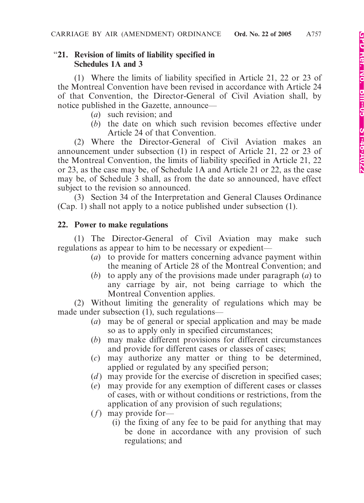# "**21. Revision of limits of liability specified in Schedules 1A and 3**

(1) Where the limits of liability specified in Article 21, 22 or 23 of the Montreal Convention have been revised in accordance with Article 24 of that Convention, the Director-General of Civil Aviation shall, by notice published in the Gazette, announce—

- (*a*) such revision; and
- (*b*) the date on which such revision becomes effective under Article 24 of that Convention.

(2) Where the Director-General of Civil Aviation makes an announcement under subsection (1) in respect of Article 21, 22 or 23 of the Montreal Convention, the limits of liability specified in Article 21, 22 or 23, as the case may be, of Schedule 1A and Article 21 or 22, as the case may be, of Schedule 3 shall, as from the date so announced, have effect subject to the revision so announced.

(3) Section 34 of the Interpretation and General Clauses Ordinance (Cap. 1) shall not apply to a notice published under subsection (1).

# **22. Power to make regulations**

(1) The Director-General of Civil Aviation may make such regulations as appear to him to be necessary or expedient—

- (*a*) to provide for matters concerning advance payment within the meaning of Article 28 of the Montreal Convention; and
- (*b*) to apply any of the provisions made under paragraph (*a*) to any carriage by air, not being carriage to which the Montreal Convention applies.

(2) Without limiting the generality of regulations which may be made under subsection (1), such regulations—

- (*a*) may be of general or special application and may be made so as to apply only in specified circumstances;
- (*b*) may make different provisions for different circumstances and provide for different cases or classes of cases;
- (*c*) may authorize any matter or thing to be determined, applied or regulated by any specified person;
- (*d*) may provide for the exercise of discretion in specified cases;
- (*e*) may provide for any exemption of different cases or classes of cases, with or without conditions or restrictions, from the application of any provision of such regulations;
- (*f*) may provide for—
	- (i) the fixing of any fee to be paid for anything that may be done in accordance with any provision of such regulations; and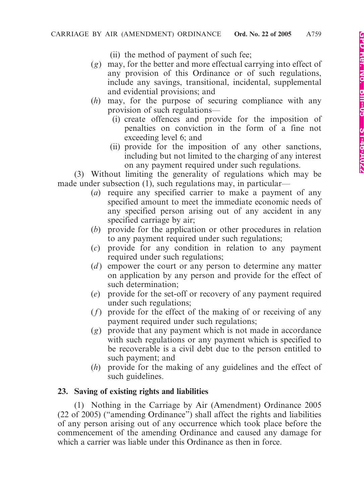(ii) the method of payment of such fee;

- (*g*) may, for the better and more effectual carrying into effect of any provision of this Ordinance or of such regulations, include any savings, transitional, incidental, supplemental and evidential provisions; and
- (*h*) may, for the purpose of securing compliance with any provision of such regulations—
	- (i) create offences and provide for the imposition of penalties on conviction in the form of a fine not exceeding level 6; and
	- (ii) provide for the imposition of any other sanctions, including but not limited to the charging of any interest on any payment required under such regulations.

(3) Without limiting the generality of regulations which may be made under subsection (1), such regulations may, in particular—

- (*a*) require any specified carrier to make a payment of any specified amount to meet the immediate economic needs of any specified person arising out of any accident in any specified carriage by air;
- (*b*) provide for the application or other procedures in relation to any payment required under such regulations;
- (*c*) provide for any condition in relation to any payment required under such regulations;
- (*d*) empower the court or any person to determine any matter on application by any person and provide for the effect of such determination;
- (*e*) provide for the set-off or recovery of any payment required under such regulations;
- (*f*) provide for the effect of the making of or receiving of any payment required under such regulations;
- (*g*) provide that any payment which is not made in accordance with such regulations or any payment which is specified to be recoverable is a civil debt due to the person entitled to such payment; and
- (*h*) provide for the making of any guidelines and the effect of such guidelines.

# **23. Saving of existing rights and liabilities**

(1) Nothing in the Carriage by Air (Amendment) Ordinance 2005 (22 of 2005) ("amending Ordinance") shall affect the rights and liabilities of any person arising out of any occurrence which took place before the commencement of the amending Ordinance and caused any damage for which a carrier was liable under this Ordinance as then in force.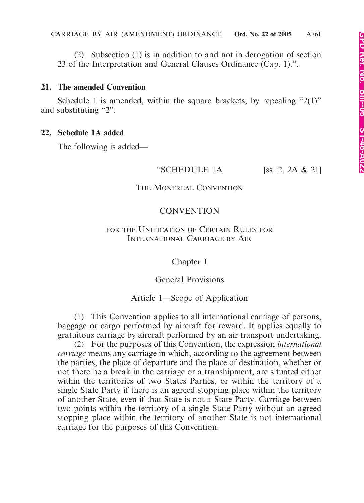(2) Subsection (1) is in addition to and not in derogation of section 23 of the Interpretation and General Clauses Ordinance (Cap. 1).".

#### **21. The amended Convention**

Schedule 1 is amended, within the square brackets, by repealing "2(1)" and substituting "2".

### **22. Schedule 1A added**

The following is added—

# "SCHEDULE 1A [ss. 2, 2A  $& 21$ ]

#### THE MONTREAL CONVENTION

# **CONVENTION**

### FOR THE UNIFICATION OF CERTAIN RULES FOR INTERNATIONAL CARRIAGE BY AIR

Chapter I

### General Provisions

### Article 1—Scope of Application

(1) This Convention applies to all international carriage of persons, baggage or cargo performed by aircraft for reward. It applies equally to gratuitous carriage by aircraft performed by an air transport undertaking.

(2) For the purposes of this Convention, the expression *international carriage* means any carriage in which, according to the agreement between the parties, the place of departure and the place of destination, whether or not there be a break in the carriage or a transhipment, are situated either within the territories of two States Parties, or within the territory of a single State Party if there is an agreed stopping place within the territory of another State, even if that State is not a State Party. Carriage between two points within the territory of a single State Party without an agreed stopping place within the territory of another State is not international carriage for the purposes of this Convention.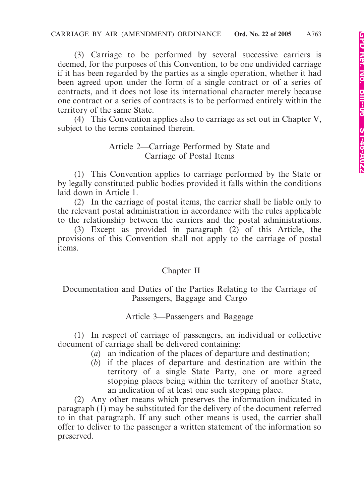(3) Carriage to be performed by several successive carriers is deemed, for the purposes of this Convention, to be one undivided carriage if it has been regarded by the parties as a single operation, whether it had been agreed upon under the form of a single contract or of a series of contracts, and it does not lose its international character merely because one contract or a series of contracts is to be performed entirely within the territory of the same State.

(4) This Convention applies also to carriage as set out in Chapter V, subject to the terms contained therein.

# Article 2—Carriage Performed by State and Carriage of Postal Items

(1) This Convention applies to carriage performed by the State or by legally constituted public bodies provided it falls within the conditions laid down in Article 1.

(2) In the carriage of postal items, the carrier shall be liable only to the relevant postal administration in accordance with the rules applicable to the relationship between the carriers and the postal administrations.

(3) Except as provided in paragraph (2) of this Article, the provisions of this Convention shall not apply to the carriage of postal items.

# Chapter II

Documentation and Duties of the Parties Relating to the Carriage of Passengers, Baggage and Cargo

Article 3—Passengers and Baggage

(1) In respect of carriage of passengers, an individual or collective document of carriage shall be delivered containing:

- (*a*) an indication of the places of departure and destination;
- (*b*) if the places of departure and destination are within the territory of a single State Party, one or more agreed stopping places being within the territory of another State, an indication of at least one such stopping place.

(2) Any other means which preserves the information indicated in paragraph (1) may be substituted for the delivery of the document referred to in that paragraph. If any such other means is used, the carrier shall offer to deliver to the passenger a written statement of the information so preserved.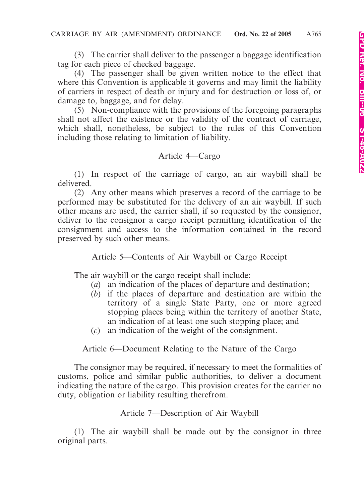(3) The carrier shall deliver to the passenger a baggage identification tag for each piece of checked baggage.

(4) The passenger shall be given written notice to the effect that where this Convention is applicable it governs and may limit the liability of carriers in respect of death or injury and for destruction or loss of, or damage to, baggage, and for delay.

(5) Non-compliance with the provisions of the foregoing paragraphs shall not affect the existence or the validity of the contract of carriage, which shall, nonetheless, be subject to the rules of this Convention including those relating to limitation of liability.

### Article 4—Cargo

(1) In respect of the carriage of cargo, an air waybill shall be delivered.

(2) Any other means which preserves a record of the carriage to be performed may be substituted for the delivery of an air waybill. If such other means are used, the carrier shall, if so requested by the consignor, deliver to the consignor a cargo receipt permitting identification of the consignment and access to the information contained in the record preserved by such other means.

Article 5—Contents of Air Waybill or Cargo Receipt

The air waybill or the cargo receipt shall include:

- (*a*) an indication of the places of departure and destination;
- (*b*) if the places of departure and destination are within the territory of a single State Party, one or more agreed stopping places being within the territory of another State, an indication of at least one such stopping place; and
- (*c*) an indication of the weight of the consignment.

Article 6—Document Relating to the Nature of the Cargo

The consignor may be required, if necessary to meet the formalities of customs, police and similar public authorities, to deliver a document indicating the nature of the cargo. This provision creates for the carrier no duty, obligation or liability resulting therefrom.

Article 7—Description of Air Waybill

(1) The air waybill shall be made out by the consignor in three original parts.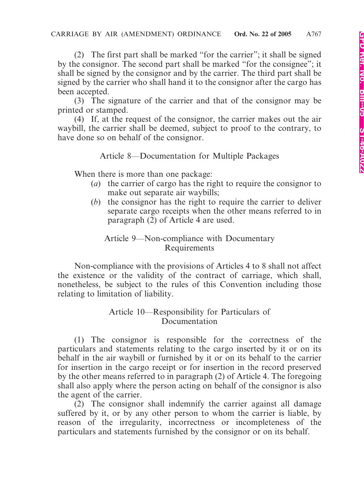(2) The first part shall be marked "for the carrier"; it shall be signed by the consignor. The second part shall be marked "for the consignee"; it shall be signed by the consignor and by the carrier. The third part shall be signed by the carrier who shall hand it to the consignor after the cargo has been accepted.

(3) The signature of the carrier and that of the consignor may be printed or stamped.

(4) If, at the request of the consignor, the carrier makes out the air waybill, the carrier shall be deemed, subject to proof to the contrary, to have done so on behalf of the consignor.

Article 8—Documentation for Multiple Packages

When there is more than one package:

- (*a*) the carrier of cargo has the right to require the consignor to make out separate air waybills;
- (*b*) the consignor has the right to require the carrier to deliver separate cargo receipts when the other means referred to in paragraph (2) of Article 4 are used.

# Article 9—Non-compliance with Documentary Requirements

Non-compliance with the provisions of Articles 4 to 8 shall not affect the existence or the validity of the contract of carriage, which shall, nonetheless, be subject to the rules of this Convention including those relating to limitation of liability.

> Article 10—Responsibility for Particulars of Documentation

(1) The consignor is responsible for the correctness of the particulars and statements relating to the cargo inserted by it or on its behalf in the air waybill or furnished by it or on its behalf to the carrier for insertion in the cargo receipt or for insertion in the record preserved by the other means referred to in paragraph (2) of Article 4. The foregoing shall also apply where the person acting on behalf of the consignor is also the agent of the carrier.

(2) The consignor shall indemnify the carrier against all damage suffered by it, or by any other person to whom the carrier is liable, by reason of the irregularity, incorrectness or incompleteness of the particulars and statements furnished by the consignor or on its behalf.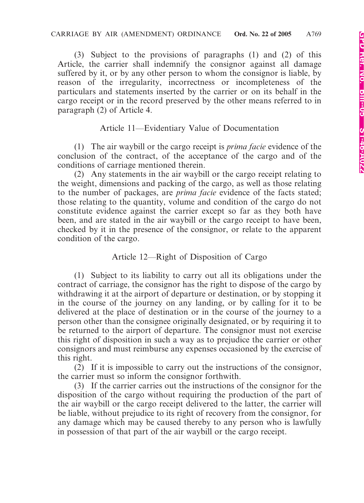(3) Subject to the provisions of paragraphs (1) and (2) of this Article, the carrier shall indemnify the consignor against all damage suffered by it, or by any other person to whom the consignor is liable, by reason of the irregularity, incorrectness or incompleteness of the particulars and statements inserted by the carrier or on its behalf in the cargo receipt or in the record preserved by the other means referred to in paragraph (2) of Article 4.

### Article 11—Evidentiary Value of Documentation

(1) The air waybill or the cargo receipt is *prima facie* evidence of the conclusion of the contract, of the acceptance of the cargo and of the conditions of carriage mentioned therein.

(2) Any statements in the air waybill or the cargo receipt relating to the weight, dimensions and packing of the cargo, as well as those relating to the number of packages, are *prima facie* evidence of the facts stated; those relating to the quantity, volume and condition of the cargo do not constitute evidence against the carrier except so far as they both have been, and are stated in the air waybill or the cargo receipt to have been, checked by it in the presence of the consignor, or relate to the apparent condition of the cargo.

# Article 12—Right of Disposition of Cargo

(1) Subject to its liability to carry out all its obligations under the contract of carriage, the consignor has the right to dispose of the cargo by withdrawing it at the airport of departure or destination, or by stopping it in the course of the journey on any landing, or by calling for it to be delivered at the place of destination or in the course of the journey to a person other than the consignee originally designated, or by requiring it to be returned to the airport of departure. The consignor must not exercise this right of disposition in such a way as to prejudice the carrier or other consignors and must reimburse any expenses occasioned by the exercise of this right.

(2) If it is impossible to carry out the instructions of the consignor, the carrier must so inform the consignor forthwith.

(3) If the carrier carries out the instructions of the consignor for the disposition of the cargo without requiring the production of the part of the air waybill or the cargo receipt delivered to the latter, the carrier will be liable, without prejudice to its right of recovery from the consignor, for any damage which may be caused thereby to any person who is lawfully in possession of that part of the air waybill or the cargo receipt.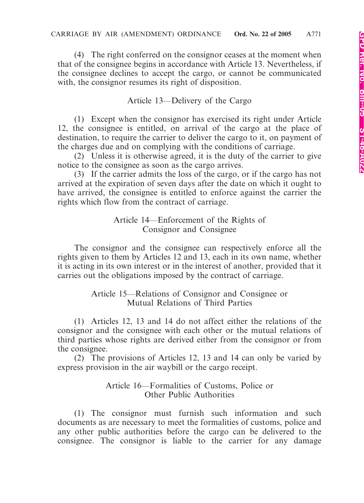(4) The right conferred on the consignor ceases at the moment when that of the consignee begins in accordance with Article 13. Nevertheless, if the consignee declines to accept the cargo, or cannot be communicated with, the consignor resumes its right of disposition.

### Article 13—Delivery of the Cargo

(1) Except when the consignor has exercised its right under Article 12, the consignee is entitled, on arrival of the cargo at the place of destination, to require the carrier to deliver the cargo to it, on payment of the charges due and on complying with the conditions of carriage.

(2) Unless it is otherwise agreed, it is the duty of the carrier to give notice to the consignee as soon as the cargo arrives.

(3) If the carrier admits the loss of the cargo, or if the cargo has not arrived at the expiration of seven days after the date on which it ought to have arrived, the consignee is entitled to enforce against the carrier the rights which flow from the contract of carriage.

# Article 14—Enforcement of the Rights of Consignor and Consignee

The consignor and the consignee can respectively enforce all the rights given to them by Articles 12 and 13, each in its own name, whether it is acting in its own interest or in the interest of another, provided that it carries out the obligations imposed by the contract of carriage.

# Article 15—Relations of Consignor and Consignee or Mutual Relations of Third Parties

(1) Articles 12, 13 and 14 do not affect either the relations of the consignor and the consignee with each other or the mutual relations of third parties whose rights are derived either from the consignor or from the consignee.

(2) The provisions of Articles 12, 13 and 14 can only be varied by express provision in the air waybill or the cargo receipt.

# Article 16—Formalities of Customs, Police or Other Public Authorities

(1) The consignor must furnish such information and such documents as are necessary to meet the formalities of customs, police and any other public authorities before the cargo can be delivered to the consignee. The consignor is liable to the carrier for any damage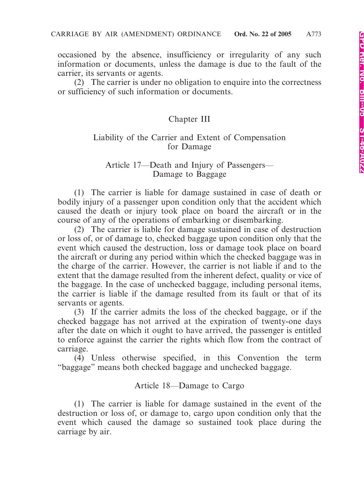occasioned by the absence, insufficiency or irregularity of any such information or documents, unless the damage is due to the fault of the carrier, its servants or agents.

(2) The carrier is under no obligation to enquire into the correctness or sufficiency of such information or documents.

# Chapter III

# Liability of the Carrier and Extent of Compensation for Damage

# Article 17—Death and Injury of Passengers— Damage to Baggage

(1) The carrier is liable for damage sustained in case of death or bodily injury of a passenger upon condition only that the accident which caused the death or injury took place on board the aircraft or in the course of any of the operations of embarking or disembarking.

(2) The carrier is liable for damage sustained in case of destruction or loss of, or of damage to, checked baggage upon condition only that the event which caused the destruction, loss or damage took place on board the aircraft or during any period within which the checked baggage was in the charge of the carrier. However, the carrier is not liable if and to the extent that the damage resulted from the inherent defect, quality or vice of the baggage. In the case of unchecked baggage, including personal items, the carrier is liable if the damage resulted from its fault or that of its servants or agents.

(3) If the carrier admits the loss of the checked baggage, or if the checked baggage has not arrived at the expiration of twenty-one days after the date on which it ought to have arrived, the passenger is entitled to enforce against the carrier the rights which flow from the contract of carriage.

(4) Unless otherwise specified, in this Convention the term "baggage" means both checked baggage and unchecked baggage.

# Article 18—Damage to Cargo

(1) The carrier is liable for damage sustained in the event of the destruction or loss of, or damage to, cargo upon condition only that the event which caused the damage so sustained took place during the carriage by air.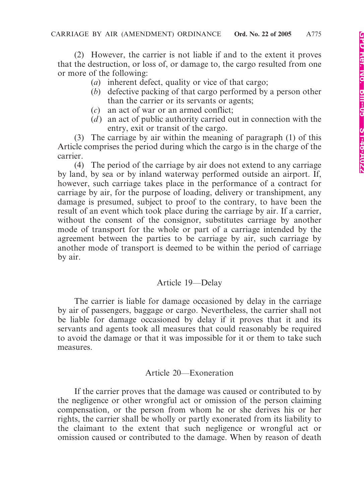(2) However, the carrier is not liable if and to the extent it proves that the destruction, or loss of, or damage to, the cargo resulted from one or more of the following:

- (*a*) inherent defect, quality or vice of that cargo;
- (*b*) defective packing of that cargo performed by a person other than the carrier or its servants or agents;
- (*c*) an act of war or an armed conflict;
- (*d* ) an act of public authority carried out in connection with the entry, exit or transit of the cargo.

(3) The carriage by air within the meaning of paragraph (1) of this Article comprises the period during which the cargo is in the charge of the carrier.

(4) The period of the carriage by air does not extend to any carriage by land, by sea or by inland waterway performed outside an airport. If, however, such carriage takes place in the performance of a contract for carriage by air, for the purpose of loading, delivery or transhipment, any damage is presumed, subject to proof to the contrary, to have been the result of an event which took place during the carriage by air. If a carrier, without the consent of the consignor, substitutes carriage by another mode of transport for the whole or part of a carriage intended by the agreement between the parties to be carriage by air, such carriage by another mode of transport is deemed to be within the period of carriage by air.

### Article 19—Delay

The carrier is liable for damage occasioned by delay in the carriage by air of passengers, baggage or cargo. Nevertheless, the carrier shall not be liable for damage occasioned by delay if it proves that it and its servants and agents took all measures that could reasonably be required to avoid the damage or that it was impossible for it or them to take such measures.

#### Article 20—Exoneration

If the carrier proves that the damage was caused or contributed to by the negligence or other wrongful act or omission of the person claiming compensation, or the person from whom he or she derives his or her rights, the carrier shall be wholly or partly exonerated from its liability to the claimant to the extent that such negligence or wrongful act or omission caused or contributed to the damage. When by reason of death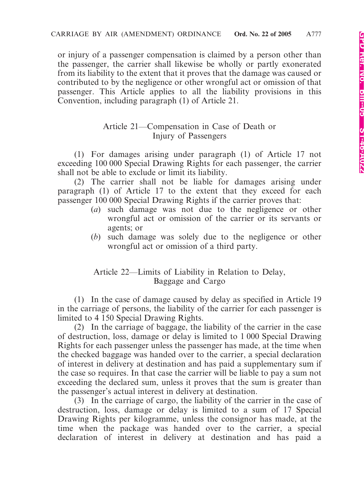or injury of a passenger compensation is claimed by a person other than the passenger, the carrier shall likewise be wholly or partly exonerated from its liability to the extent that it proves that the damage was caused or contributed to by the negligence or other wrongful act or omission of that passenger. This Article applies to all the liability provisions in this Convention, including paragraph (1) of Article 21.

# Article 21—Compensation in Case of Death or Injury of Passengers

(1) For damages arising under paragraph (1) of Article 17 not exceeding 100 000 Special Drawing Rights for each passenger, the carrier shall not be able to exclude or limit its liability.

(2) The carrier shall not be liable for damages arising under paragraph (1) of Article 17 to the extent that they exceed for each passenger 100 000 Special Drawing Rights if the carrier proves that:

- (*a*) such damage was not due to the negligence or other wrongful act or omission of the carrier or its servants or agents; or
- (*b*) such damage was solely due to the negligence or other wrongful act or omission of a third party.

# Article 22—Limits of Liability in Relation to Delay, Baggage and Cargo

(1) In the case of damage caused by delay as specified in Article 19 in the carriage of persons, the liability of the carrier for each passenger is limited to 4 150 Special Drawing Rights.

(2) In the carriage of baggage, the liability of the carrier in the case of destruction, loss, damage or delay is limited to 1 000 Special Drawing Rights for each passenger unless the passenger has made, at the time when the checked baggage was handed over to the carrier, a special declaration of interest in delivery at destination and has paid a supplementary sum if the case so requires. In that case the carrier will be liable to pay a sum not exceeding the declared sum, unless it proves that the sum is greater than the passenger's actual interest in delivery at destination.

(3) In the carriage of cargo, the liability of the carrier in the case of destruction, loss, damage or delay is limited to a sum of 17 Special Drawing Rights per kilogramme, unless the consignor has made, at the time when the package was handed over to the carrier, a special declaration of interest in delivery at destination and has paid a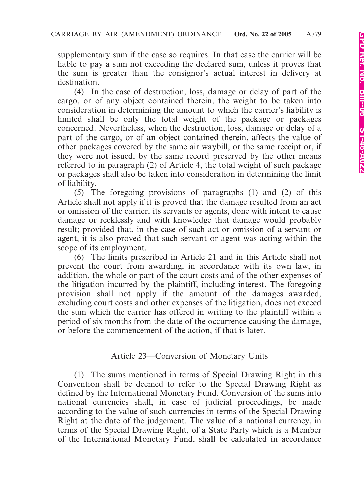supplementary sum if the case so requires. In that case the carrier will be liable to pay a sum not exceeding the declared sum, unless it proves that the sum is greater than the consignor's actual interest in delivery at destination.

(4) In the case of destruction, loss, damage or delay of part of the cargo, or of any object contained therein, the weight to be taken into consideration in determining the amount to which the carrier's liability is limited shall be only the total weight of the package or packages concerned. Nevertheless, when the destruction, loss, damage or delay of a part of the cargo, or of an object contained therein, affects the value of other packages covered by the same air waybill, or the same receipt or, if they were not issued, by the same record preserved by the other means referred to in paragraph (2) of Article 4, the total weight of such package or packages shall also be taken into consideration in determining the limit of liability.

(5) The foregoing provisions of paragraphs (1) and (2) of this Article shall not apply if it is proved that the damage resulted from an act or omission of the carrier, its servants or agents, done with intent to cause damage or recklessly and with knowledge that damage would probably result; provided that, in the case of such act or omission of a servant or agent, it is also proved that such servant or agent was acting within the scope of its employment.

(6) The limits prescribed in Article 21 and in this Article shall not prevent the court from awarding, in accordance with its own law, in addition, the whole or part of the court costs and of the other expenses of the litigation incurred by the plaintiff, including interest. The foregoing provision shall not apply if the amount of the damages awarded, excluding court costs and other expenses of the litigation, does not exceed the sum which the carrier has offered in writing to the plaintiff within a period of six months from the date of the occurrence causing the damage, or before the commencement of the action, if that is later.

# Article 23—Conversion of Monetary Units

(1) The sums mentioned in terms of Special Drawing Right in this Convention shall be deemed to refer to the Special Drawing Right as defined by the International Monetary Fund. Conversion of the sums into national currencies shall, in case of judicial proceedings, be made according to the value of such currencies in terms of the Special Drawing Right at the date of the judgement. The value of a national currency, in terms of the Special Drawing Right, of a State Party which is a Member of the International Monetary Fund, shall be calculated in accordance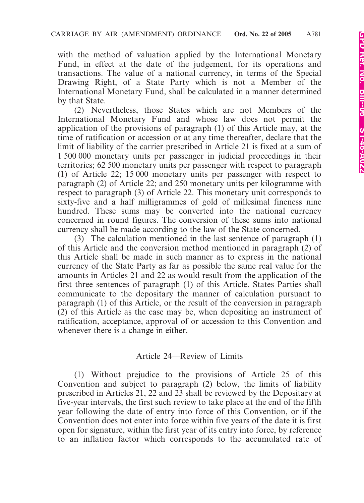with the method of valuation applied by the International Monetary Fund, in effect at the date of the judgement, for its operations and transactions. The value of a national currency, in terms of the Special Drawing Right, of a State Party which is not a Member of the International Monetary Fund, shall be calculated in a manner determined by that State.

(2) Nevertheless, those States which are not Members of the International Monetary Fund and whose law does not permit the application of the provisions of paragraph (1) of this Article may, at the time of ratification or accession or at any time thereafter, declare that the limit of liability of the carrier prescribed in Article 21 is fixed at a sum of 1 500 000 monetary units per passenger in judicial proceedings in their territories; 62 500 monetary units per passenger with respect to paragraph (1) of Article 22; 15 000 monetary units per passenger with respect to paragraph (2) of Article 22; and 250 monetary units per kilogramme with respect to paragraph (3) of Article 22. This monetary unit corresponds to sixty-five and a half milligrammes of gold of millesimal fineness nine hundred. These sums may be converted into the national currency concerned in round figures. The conversion of these sums into national currency shall be made according to the law of the State concerned.

(3) The calculation mentioned in the last sentence of paragraph (1) of this Article and the conversion method mentioned in paragraph (2) of this Article shall be made in such manner as to express in the national currency of the State Party as far as possible the same real value for the amounts in Articles 21 and 22 as would result from the application of the first three sentences of paragraph (1) of this Article. States Parties shall communicate to the depositary the manner of calculation pursuant to paragraph (1) of this Article, or the result of the conversion in paragraph (2) of this Article as the case may be, when depositing an instrument of ratification, acceptance, approval of or accession to this Convention and whenever there is a change in either.

### Article 24—Review of Limits

(1) Without prejudice to the provisions of Article 25 of this Convention and subject to paragraph (2) below, the limits of liability prescribed in Articles 21, 22 and 23 shall be reviewed by the Depositary at five-year intervals, the first such review to take place at the end of the fifth year following the date of entry into force of this Convention, or if the Convention does not enter into force within five years of the date it is first open for signature, within the first year of its entry into force, by reference to an inflation factor which corresponds to the accumulated rate of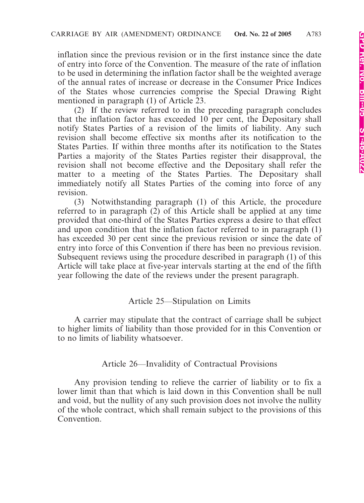inflation since the previous revision or in the first instance since the date of entry into force of the Convention. The measure of the rate of inflation to be used in determining the inflation factor shall be the weighted average of the annual rates of increase or decrease in the Consumer Price Indices of the States whose currencies comprise the Special Drawing Right mentioned in paragraph (1) of Article 23.

(2) If the review referred to in the preceding paragraph concludes that the inflation factor has exceeded 10 per cent, the Depositary shall notify States Parties of a revision of the limits of liability. Any such revision shall become effective six months after its notification to the States Parties. If within three months after its notification to the States Parties a majority of the States Parties register their disapproval, the revision shall not become effective and the Depositary shall refer the matter to a meeting of the States Parties. The Depositary shall immediately notify all States Parties of the coming into force of any revision.

(3) Notwithstanding paragraph (1) of this Article, the procedure referred to in paragraph (2) of this Article shall be applied at any time provided that one-third of the States Parties express a desire to that effect and upon condition that the inflation factor referred to in paragraph (1) has exceeded 30 per cent since the previous revision or since the date of entry into force of this Convention if there has been no previous revision. Subsequent reviews using the procedure described in paragraph (1) of this Article will take place at five-year intervals starting at the end of the fifth year following the date of the reviews under the present paragraph.

# Article 25—Stipulation on Limits

A carrier may stipulate that the contract of carriage shall be subject to higher limits of liability than those provided for in this Convention or to no limits of liability whatsoever.

# Article 26—Invalidity of Contractual Provisions

Any provision tending to relieve the carrier of liability or to fix a lower limit than that which is laid down in this Convention shall be null and void, but the nullity of any such provision does not involve the nullity of the whole contract, which shall remain subject to the provisions of this Convention.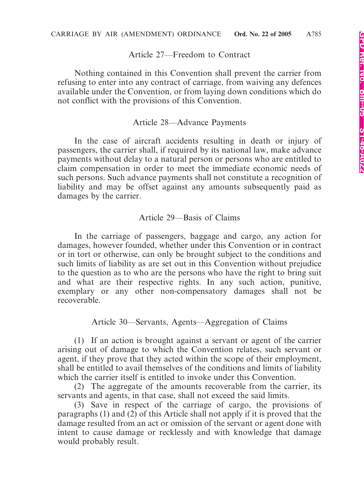#### Article 27—Freedom to Contract

Nothing contained in this Convention shall prevent the carrier from refusing to enter into any contract of carriage, from waiving any defences available under the Convention, or from laying down conditions which do not conflict with the provisions of this Convention.

#### Article 28—Advance Payments

In the case of aircraft accidents resulting in death or injury of passengers, the carrier shall, if required by its national law, make advance payments without delay to a natural person or persons who are entitled to claim compensation in order to meet the immediate economic needs of such persons. Such advance payments shall not constitute a recognition of liability and may be offset against any amounts subsequently paid as damages by the carrier.

#### Article 29—Basis of Claims

In the carriage of passengers, baggage and cargo, any action for damages, however founded, whether under this Convention or in contract or in tort or otherwise, can only be brought subject to the conditions and such limits of liability as are set out in this Convention without prejudice to the question as to who are the persons who have the right to bring suit and what are their respective rights. In any such action, punitive, exemplary or any other non-compensatory damages shall not be recoverable.

# Article 30—Servants, Agents—Aggregation of Claims

(1) If an action is brought against a servant or agent of the carrier arising out of damage to which the Convention relates, such servant or agent, if they prove that they acted within the scope of their employment, shall be entitled to avail themselves of the conditions and limits of liability which the carrier itself is entitled to invoke under this Convention.

(2) The aggregate of the amounts recoverable from the carrier, its servants and agents, in that case, shall not exceed the said limits.

(3) Save in respect of the carriage of cargo, the provisions of paragraphs (1) and (2) of this Article shall not apply if it is proved that the damage resulted from an act or omission of the servant or agent done with intent to cause damage or recklessly and with knowledge that damage would probably result.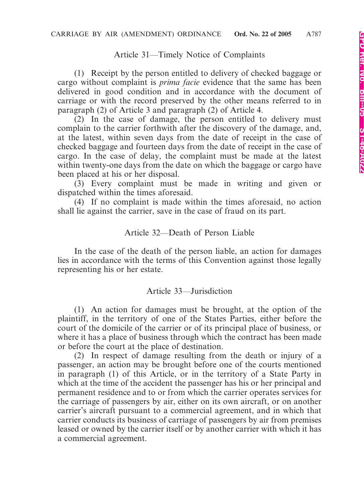### Article 31—Timely Notice of Complaints

(1) Receipt by the person entitled to delivery of checked baggage or cargo without complaint is *prima facie* evidence that the same has been delivered in good condition and in accordance with the document of carriage or with the record preserved by the other means referred to in paragraph (2) of Article 3 and paragraph (2) of Article 4.

(2) In the case of damage, the person entitled to delivery must complain to the carrier forthwith after the discovery of the damage, and, at the latest, within seven days from the date of receipt in the case of checked baggage and fourteen days from the date of receipt in the case of cargo. In the case of delay, the complaint must be made at the latest within twenty-one days from the date on which the baggage or cargo have been placed at his or her disposal.

(3) Every complaint must be made in writing and given or dispatched within the times aforesaid.

(4) If no complaint is made within the times aforesaid, no action shall lie against the carrier, save in the case of fraud on its part.

### Article 32—Death of Person Liable

In the case of the death of the person liable, an action for damages lies in accordance with the terms of this Convention against those legally representing his or her estate.

#### Article 33—Jurisdiction

(1) An action for damages must be brought, at the option of the plaintiff, in the territory of one of the States Parties, either before the court of the domicile of the carrier or of its principal place of business, or where it has a place of business through which the contract has been made or before the court at the place of destination.

(2) In respect of damage resulting from the death or injury of a passenger, an action may be brought before one of the courts mentioned in paragraph (1) of this Article, or in the territory of a State Party in which at the time of the accident the passenger has his or her principal and permanent residence and to or from which the carrier operates services for the carriage of passengers by air, either on its own aircraft, or on another carrier's aircraft pursuant to a commercial agreement, and in which that carrier conducts its business of carriage of passengers by air from premises leased or owned by the carrier itself or by another carrier with which it has a commercial agreement.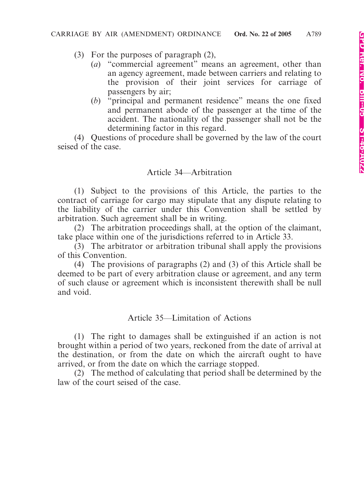# (3) For the purposes of paragraph (2),

- (*a*) "commercial agreement" means an agreement, other than an agency agreement, made between carriers and relating to the provision of their joint services for carriage of passengers by air;
- (*b*) "principal and permanent residence" means the one fixed and permanent abode of the passenger at the time of the accident. The nationality of the passenger shall not be the determining factor in this regard.

(4) Questions of procedure shall be governed by the law of the court seised of the case.

# Article 34—Arbitration

(1) Subject to the provisions of this Article, the parties to the contract of carriage for cargo may stipulate that any dispute relating to the liability of the carrier under this Convention shall be settled by arbitration. Such agreement shall be in writing.

(2) The arbitration proceedings shall, at the option of the claimant, take place within one of the jurisdictions referred to in Article 33.

(3) The arbitrator or arbitration tribunal shall apply the provisions of this Convention.

(4) The provisions of paragraphs (2) and (3) of this Article shall be deemed to be part of every arbitration clause or agreement, and any term of such clause or agreement which is inconsistent therewith shall be null and void.

# Article 35—Limitation of Actions

(1) The right to damages shall be extinguished if an action is not brought within a period of two years, reckoned from the date of arrival at the destination, or from the date on which the aircraft ought to have arrived, or from the date on which the carriage stopped.

(2) The method of calculating that period shall be determined by the law of the court seised of the case.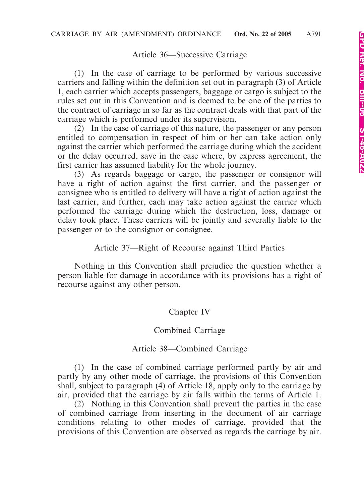#### Article 36—Successive Carriage

(1) In the case of carriage to be performed by various successive carriers and falling within the definition set out in paragraph (3) of Article 1, each carrier which accepts passengers, baggage or cargo is subject to the rules set out in this Convention and is deemed to be one of the parties to the contract of carriage in so far as the contract deals with that part of the carriage which is performed under its supervision.

(2) In the case of carriage of this nature, the passenger or any person entitled to compensation in respect of him or her can take action only against the carrier which performed the carriage during which the accident or the delay occurred, save in the case where, by express agreement, the first carrier has assumed liability for the whole journey.

(3) As regards baggage or cargo, the passenger or consignor will have a right of action against the first carrier, and the passenger or consignee who is entitled to delivery will have a right of action against the last carrier, and further, each may take action against the carrier which performed the carriage during which the destruction, loss, damage or delay took place. These carriers will be jointly and severally liable to the passenger or to the consignor or consignee.

Article 37—Right of Recourse against Third Parties

Nothing in this Convention shall prejudice the question whether a person liable for damage in accordance with its provisions has a right of recourse against any other person.

### Chapter IV

#### Combined Carriage

#### Article 38—Combined Carriage

(1) In the case of combined carriage performed partly by air and partly by any other mode of carriage, the provisions of this Convention shall, subject to paragraph (4) of Article 18, apply only to the carriage by air, provided that the carriage by air falls within the terms of Article 1.

(2) Nothing in this Convention shall prevent the parties in the case of combined carriage from inserting in the document of air carriage conditions relating to other modes of carriage, provided that the provisions of this Convention are observed as regards the carriage by air.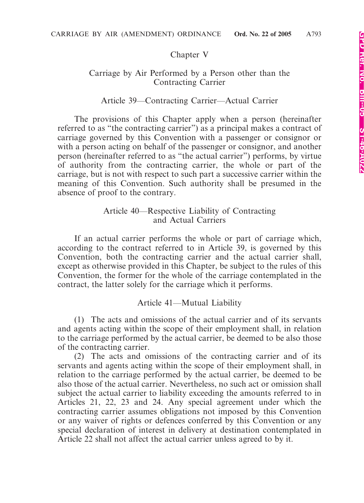# Chapter V

### Carriage by Air Performed by a Person other than the Contracting Carrier

### Article 39—Contracting Carrier—Actual Carrier

The provisions of this Chapter apply when a person (hereinafter referred to as "the contracting carrier") as a principal makes a contract of carriage governed by this Convention with a passenger or consignor or with a person acting on behalf of the passenger or consignor, and another person (hereinafter referred to as "the actual carrier") performs, by virtue of authority from the contracting carrier, the whole or part of the carriage, but is not with respect to such part a successive carrier within the meaning of this Convention. Such authority shall be presumed in the absence of proof to the contrary.

### Article 40—Respective Liability of Contracting and Actual Carriers

If an actual carrier performs the whole or part of carriage which, according to the contract referred to in Article 39, is governed by this Convention, both the contracting carrier and the actual carrier shall, except as otherwise provided in this Chapter, be subject to the rules of this Convention, the former for the whole of the carriage contemplated in the contract, the latter solely for the carriage which it performs.

Article 41—Mutual Liability

(1) The acts and omissions of the actual carrier and of its servants and agents acting within the scope of their employment shall, in relation to the carriage performed by the actual carrier, be deemed to be also those of the contracting carrier.

(2) The acts and omissions of the contracting carrier and of its servants and agents acting within the scope of their employment shall, in relation to the carriage performed by the actual carrier, be deemed to be also those of the actual carrier. Nevertheless, no such act or omission shall subject the actual carrier to liability exceeding the amounts referred to in Articles 21, 22, 23 and 24. Any special agreement under which the contracting carrier assumes obligations not imposed by this Convention or any waiver of rights or defences conferred by this Convention or any special declaration of interest in delivery at destination contemplated in Article 22 shall not affect the actual carrier unless agreed to by it.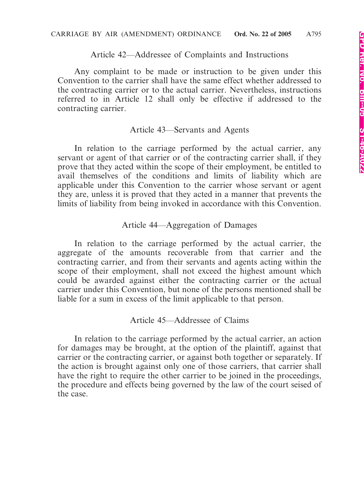#### Article 42—Addressee of Complaints and Instructions

Any complaint to be made or instruction to be given under this Convention to the carrier shall have the same effect whether addressed to the contracting carrier or to the actual carrier. Nevertheless, instructions referred to in Article 12 shall only be effective if addressed to the contracting carrier.

#### Article 43—Servants and Agents

In relation to the carriage performed by the actual carrier, any servant or agent of that carrier or of the contracting carrier shall, if they prove that they acted within the scope of their employment, be entitled to avail themselves of the conditions and limits of liability which are applicable under this Convention to the carrier whose servant or agent they are, unless it is proved that they acted in a manner that prevents the limits of liability from being invoked in accordance with this Convention.

# Article 44—Aggregation of Damages

In relation to the carriage performed by the actual carrier, the aggregate of the amounts recoverable from that carrier and the contracting carrier, and from their servants and agents acting within the scope of their employment, shall not exceed the highest amount which could be awarded against either the contracting carrier or the actual carrier under this Convention, but none of the persons mentioned shall be liable for a sum in excess of the limit applicable to that person.

# Article 45—Addressee of Claims

In relation to the carriage performed by the actual carrier, an action for damages may be brought, at the option of the plaintiff, against that carrier or the contracting carrier, or against both together or separately. If the action is brought against only one of those carriers, that carrier shall have the right to require the other carrier to be joined in the proceedings, the procedure and effects being governed by the law of the court seised of the case.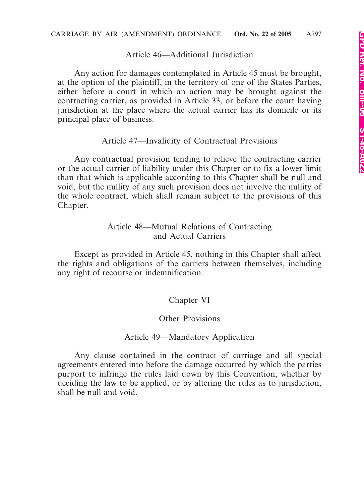### Article 46—Additional Jurisdiction

Any action for damages contemplated in Article 45 must be brought, at the option of the plaintiff, in the territory of one of the States Parties, either before a court in which an action may be brought against the contracting carrier, as provided in Article 33, or before the court having jurisdiction at the place where the actual carrier has its domicile or its principal place of business.

### Article 47—Invalidity of Contractual Provisions

Any contractual provision tending to relieve the contracting carrier or the actual carrier of liability under this Chapter or to fix a lower limit than that which is applicable according to this Chapter shall be null and void, but the nullity of any such provision does not involve the nullity of the whole contract, which shall remain subject to the provisions of this Chapter.

# Article 48—Mutual Relations of Contracting and Actual Carriers

Except as provided in Article 45, nothing in this Chapter shall affect the rights and obligations of the carriers between themselves, including any right of recourse or indemnification.

### Chapter VI

#### Other Provisions

#### Article 49—Mandatory Application

Any clause contained in the contract of carriage and all special agreements entered into before the damage occurred by which the parties purport to infringe the rules laid down by this Convention, whether by deciding the law to be applied, or by altering the rules as to jurisdiction, shall be null and void.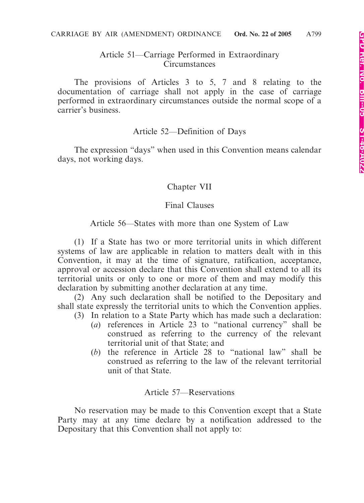### Article 51—Carriage Performed in Extraordinary **Circumstances**

The provisions of Articles 3 to 5, 7 and 8 relating to the documentation of carriage shall not apply in the case of carriage performed in extraordinary circumstances outside the normal scope of a carrier's business.

### Article 52—Definition of Days

The expression "days" when used in this Convention means calendar days, not working days.

# Chapter VII

### Final Clauses

# Article 56—States with more than one System of Law

(1) If a State has two or more territorial units in which different systems of law are applicable in relation to matters dealt with in this Convention, it may at the time of signature, ratification, acceptance, approval or accession declare that this Convention shall extend to all its territorial units or only to one or more of them and may modify this declaration by submitting another declaration at any time.

(2) Any such declaration shall be notified to the Depositary and shall state expressly the territorial units to which the Convention applies.

territorial unit of that State; and

- (3) In relation to a State Party which has made such a declaration: (*a*) references in Article 23 to "national currency" shall be construed as referring to the currency of the relevant
	- (*b*) the reference in Article 28 to "national law" shall be construed as referring to the law of the relevant territorial unit of that State.

#### Article 57—Reservations

No reservation may be made to this Convention except that a State Party may at any time declare by a notification addressed to the Depositary that this Convention shall not apply to: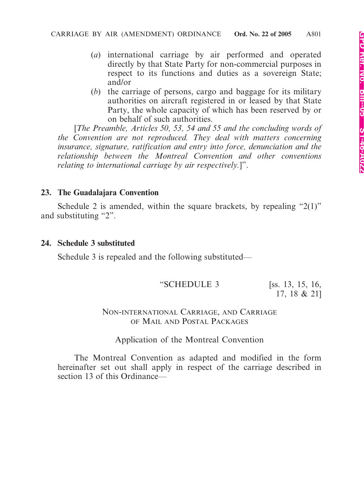- (*a*) international carriage by air performed and operated directly by that State Party for non-commercial purposes in respect to its functions and duties as a sovereign State; and/or
- (*b*) the carriage of persons, cargo and baggage for its military authorities on aircraft registered in or leased by that State Party, the whole capacity of which has been reserved by or on behalf of such authorities.

[*The Preamble, Articles 50, 53, 54 and 55 and the concluding words of the Convention are not reproduced. They deal with matters concerning insurance, signature, ratification and entry into force, denunciation and the relationship between the Montreal Convention and other conventions relating to international carriage by air respectively.*]".

# **23. The Guadalajara Convention**

Schedule 2 is amended, within the square brackets, by repealing " $2(1)$ " and substituting "2".

# **24. Schedule 3 substituted**

Schedule 3 is repealed and the following substituted—

| "SCHEDULE 3 | [ss. 13, 15, 16, |
|-------------|------------------|
|             | 17, 18 & 21]     |

NON-INTERNATIONAL CARRIAGE, AND CARRIAGE OF MAIL AND POSTAL PACKAGES

Application of the Montreal Convention

The Montreal Convention as adapted and modified in the form hereinafter set out shall apply in respect of the carriage described in section 13 of this Ordinance—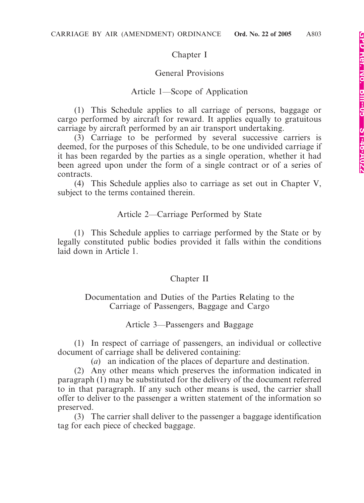# Chapter I

# General Provisions

# Article 1—Scope of Application

(1) This Schedule applies to all carriage of persons, baggage or cargo performed by aircraft for reward. It applies equally to gratuitous carriage by aircraft performed by an air transport undertaking.

(3) Carriage to be performed by several successive carriers is deemed, for the purposes of this Schedule, to be one undivided carriage if it has been regarded by the parties as a single operation, whether it had been agreed upon under the form of a single contract or of a series of contracts.

(4) This Schedule applies also to carriage as set out in Chapter V, subject to the terms contained therein.

# Article 2—Carriage Performed by State

(1) This Schedule applies to carriage performed by the State or by legally constituted public bodies provided it falls within the conditions laid down in Article 1.

# Chapter II

Documentation and Duties of the Parties Relating to the Carriage of Passengers, Baggage and Cargo

Article 3—Passengers and Baggage

(1) In respect of carriage of passengers, an individual or collective document of carriage shall be delivered containing:

(*a*) an indication of the places of departure and destination.

(2) Any other means which preserves the information indicated in paragraph (1) may be substituted for the delivery of the document referred to in that paragraph. If any such other means is used, the carrier shall offer to deliver to the passenger a written statement of the information so preserved.

(3) The carrier shall deliver to the passenger a baggage identification tag for each piece of checked baggage.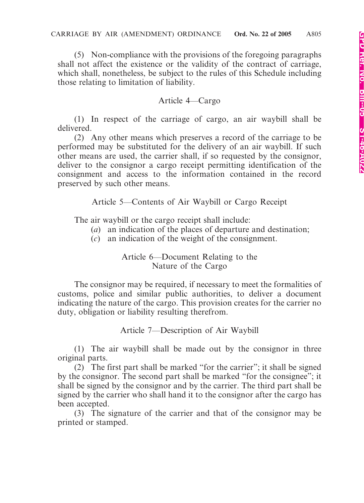(5) Non-compliance with the provisions of the foregoing paragraphs shall not affect the existence or the validity of the contract of carriage, which shall, nonetheless, be subject to the rules of this Schedule including those relating to limitation of liability.

### Article 4—Cargo

(1) In respect of the carriage of cargo, an air waybill shall be delivered.

(2) Any other means which preserves a record of the carriage to be performed may be substituted for the delivery of an air waybill. If such other means are used, the carrier shall, if so requested by the consignor, deliver to the consignor a cargo receipt permitting identification of the consignment and access to the information contained in the record preserved by such other means.

Article 5—Contents of Air Waybill or Cargo Receipt

The air waybill or the cargo receipt shall include:

- (*a*) an indication of the places of departure and destination;
- (*c*) an indication of the weight of the consignment.

Article 6—Document Relating to the Nature of the Cargo

The consignor may be required, if necessary to meet the formalities of customs, police and similar public authorities, to deliver a document indicating the nature of the cargo. This provision creates for the carrier no duty, obligation or liability resulting therefrom.

Article 7—Description of Air Waybill

(1) The air waybill shall be made out by the consignor in three original parts.

(2) The first part shall be marked "for the carrier"; it shall be signed by the consignor. The second part shall be marked "for the consignee"; it shall be signed by the consignor and by the carrier. The third part shall be signed by the carrier who shall hand it to the consignor after the cargo has been accepted.

(3) The signature of the carrier and that of the consignor may be printed or stamped.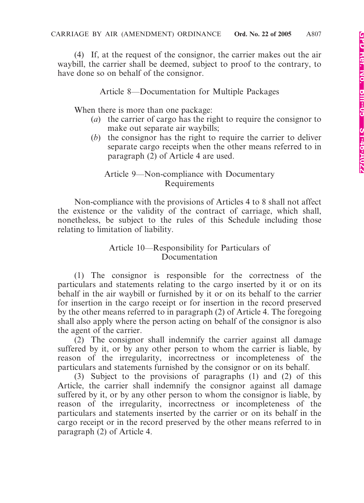(4) If, at the request of the consignor, the carrier makes out the air waybill, the carrier shall be deemed, subject to proof to the contrary, to have done so on behalf of the consignor.

Article 8—Documentation for Multiple Packages

When there is more than one package:

- (*a*) the carrier of cargo has the right to require the consignor to make out separate air waybills;
- (*b*) the consignor has the right to require the carrier to deliver separate cargo receipts when the other means referred to in paragraph (2) of Article 4 are used.

# Article 9—Non-compliance with Documentary Requirements

Non-compliance with the provisions of Articles 4 to 8 shall not affect the existence or the validity of the contract of carriage, which shall, nonetheless, be subject to the rules of this Schedule including those relating to limitation of liability.

# Article 10—Responsibility for Particulars of Documentation

(1) The consignor is responsible for the correctness of the particulars and statements relating to the cargo inserted by it or on its behalf in the air waybill or furnished by it or on its behalf to the carrier for insertion in the cargo receipt or for insertion in the record preserved by the other means referred to in paragraph (2) of Article 4. The foregoing shall also apply where the person acting on behalf of the consignor is also the agent of the carrier.

(2) The consignor shall indemnify the carrier against all damage suffered by it, or by any other person to whom the carrier is liable, by reason of the irregularity, incorrectness or incompleteness of the particulars and statements furnished by the consignor or on its behalf.

(3) Subject to the provisions of paragraphs (1) and (2) of this Article, the carrier shall indemnify the consignor against all damage suffered by it, or by any other person to whom the consignor is liable, by reason of the irregularity, incorrectness or incompleteness of the particulars and statements inserted by the carrier or on its behalf in the cargo receipt or in the record preserved by the other means referred to in paragraph (2) of Article 4.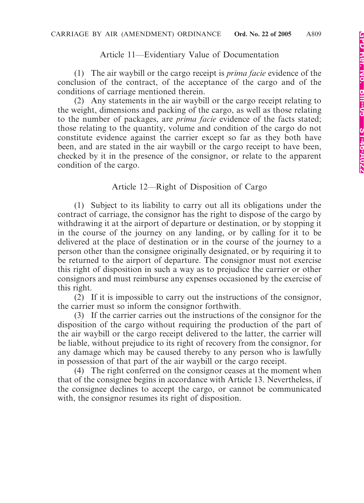### Article 11—Evidentiary Value of Documentation

(1) The air waybill or the cargo receipt is *prima facie* evidence of the conclusion of the contract, of the acceptance of the cargo and of the conditions of carriage mentioned therein.

(2) Any statements in the air waybill or the cargo receipt relating to the weight, dimensions and packing of the cargo, as well as those relating to the number of packages, are *prima facie* evidence of the facts stated; those relating to the quantity, volume and condition of the cargo do not constitute evidence against the carrier except so far as they both have been, and are stated in the air waybill or the cargo receipt to have been, checked by it in the presence of the consignor, or relate to the apparent condition of the cargo.

Article 12—Right of Disposition of Cargo

(1) Subject to its liability to carry out all its obligations under the contract of carriage, the consignor has the right to dispose of the cargo by withdrawing it at the airport of departure or destination, or by stopping it in the course of the journey on any landing, or by calling for it to be delivered at the place of destination or in the course of the journey to a person other than the consignee originally designated, or by requiring it to be returned to the airport of departure. The consignor must not exercise this right of disposition in such a way as to prejudice the carrier or other consignors and must reimburse any expenses occasioned by the exercise of this right.

(2) If it is impossible to carry out the instructions of the consignor, the carrier must so inform the consignor forthwith.

(3) If the carrier carries out the instructions of the consignor for the disposition of the cargo without requiring the production of the part of the air waybill or the cargo receipt delivered to the latter, the carrier will be liable, without prejudice to its right of recovery from the consignor, for any damage which may be caused thereby to any person who is lawfully in possession of that part of the air waybill or the cargo receipt.

(4) The right conferred on the consignor ceases at the moment when that of the consignee begins in accordance with Article 13. Nevertheless, if the consignee declines to accept the cargo, or cannot be communicated with, the consignor resumes its right of disposition.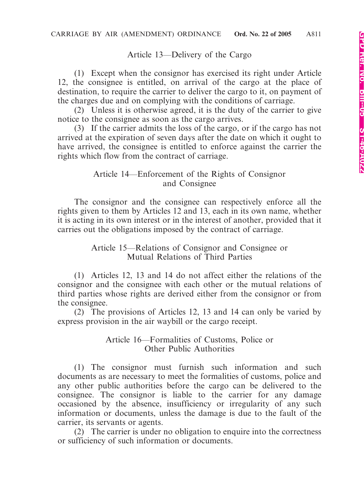# Article 13—Delivery of the Cargo

(1) Except when the consignor has exercised its right under Article 12, the consignee is entitled, on arrival of the cargo at the place of destination, to require the carrier to deliver the cargo to it, on payment of the charges due and on complying with the conditions of carriage.

(2) Unless it is otherwise agreed, it is the duty of the carrier to give notice to the consignee as soon as the cargo arrives.

(3) If the carrier admits the loss of the cargo, or if the cargo has not arrived at the expiration of seven days after the date on which it ought to have arrived, the consignee is entitled to enforce against the carrier the rights which flow from the contract of carriage.

# Article 14—Enforcement of the Rights of Consignor and Consignee

The consignor and the consignee can respectively enforce all the rights given to them by Articles 12 and 13, each in its own name, whether it is acting in its own interest or in the interest of another, provided that it carries out the obligations imposed by the contract of carriage.

# Article 15—Relations of Consignor and Consignee or Mutual Relations of Third Parties

(1) Articles 12, 13 and 14 do not affect either the relations of the consignor and the consignee with each other or the mutual relations of third parties whose rights are derived either from the consignor or from the consignee.

(2) The provisions of Articles 12, 13 and 14 can only be varied by express provision in the air waybill or the cargo receipt.

# Article 16—Formalities of Customs, Police or Other Public Authorities

(1) The consignor must furnish such information and such documents as are necessary to meet the formalities of customs, police and any other public authorities before the cargo can be delivered to the consignee. The consignor is liable to the carrier for any damage occasioned by the absence, insufficiency or irregularity of any such information or documents, unless the damage is due to the fault of the carrier, its servants or agents.

(2) The carrier is under no obligation to enquire into the correctness or sufficiency of such information or documents.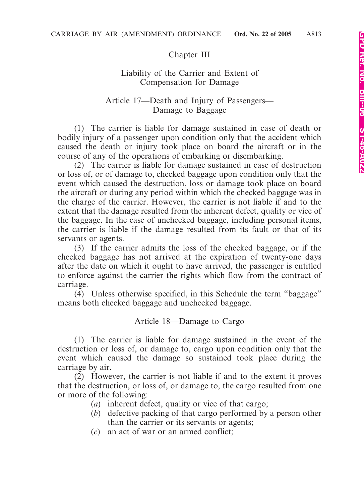# Chapter III

### Liability of the Carrier and Extent of Compensation for Damage

# Article 17—Death and Injury of Passengers— Damage to Baggage

(1) The carrier is liable for damage sustained in case of death or bodily injury of a passenger upon condition only that the accident which caused the death or injury took place on board the aircraft or in the course of any of the operations of embarking or disembarking.

(2) The carrier is liable for damage sustained in case of destruction or loss of, or of damage to, checked baggage upon condition only that the event which caused the destruction, loss or damage took place on board the aircraft or during any period within which the checked baggage was in the charge of the carrier. However, the carrier is not liable if and to the extent that the damage resulted from the inherent defect, quality or vice of the baggage. In the case of unchecked baggage, including personal items, the carrier is liable if the damage resulted from its fault or that of its servants or agents.

(3) If the carrier admits the loss of the checked baggage, or if the checked baggage has not arrived at the expiration of twenty-one days after the date on which it ought to have arrived, the passenger is entitled to enforce against the carrier the rights which flow from the contract of carriage.

(4) Unless otherwise specified, in this Schedule the term "baggage" means both checked baggage and unchecked baggage.

#### Article 18—Damage to Cargo

(1) The carrier is liable for damage sustained in the event of the destruction or loss of, or damage to, cargo upon condition only that the event which caused the damage so sustained took place during the carriage by air.

(2) However, the carrier is not liable if and to the extent it proves that the destruction, or loss of, or damage to, the cargo resulted from one or more of the following:

- (*a*) inherent defect, quality or vice of that cargo;
- (*b*) defective packing of that cargo performed by a person other than the carrier or its servants or agents;
- (*c*) an act of war or an armed conflict;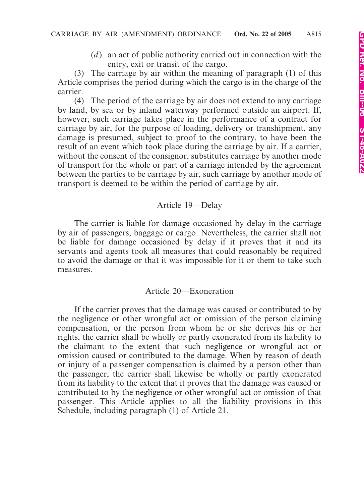(*d* ) an act of public authority carried out in connection with the entry, exit or transit of the cargo.

(3) The carriage by air within the meaning of paragraph (1) of this Article comprises the period during which the cargo is in the charge of the carrier.

(4) The period of the carriage by air does not extend to any carriage by land, by sea or by inland waterway performed outside an airport. If, however, such carriage takes place in the performance of a contract for carriage by air, for the purpose of loading, delivery or transhipment, any damage is presumed, subject to proof to the contrary, to have been the result of an event which took place during the carriage by air. If a carrier, without the consent of the consignor, substitutes carriage by another mode of transport for the whole or part of a carriage intended by the agreement between the parties to be carriage by air, such carriage by another mode of transport is deemed to be within the period of carriage by air.

# Article 19—Delay

The carrier is liable for damage occasioned by delay in the carriage by air of passengers, baggage or cargo. Nevertheless, the carrier shall not be liable for damage occasioned by delay if it proves that it and its servants and agents took all measures that could reasonably be required to avoid the damage or that it was impossible for it or them to take such measures.

#### Article 20—Exoneration

If the carrier proves that the damage was caused or contributed to by the negligence or other wrongful act or omission of the person claiming compensation, or the person from whom he or she derives his or her rights, the carrier shall be wholly or partly exonerated from its liability to the claimant to the extent that such negligence or wrongful act or omission caused or contributed to the damage. When by reason of death or injury of a passenger compensation is claimed by a person other than the passenger, the carrier shall likewise be wholly or partly exonerated from its liability to the extent that it proves that the damage was caused or contributed to by the negligence or other wrongful act or omission of that passenger. This Article applies to all the liability provisions in this Schedule, including paragraph (1) of Article 21.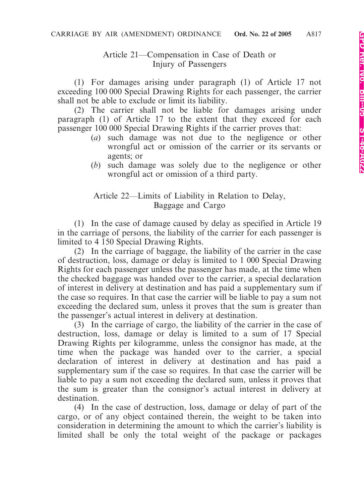# Article 21—Compensation in Case of Death or Injury of Passengers

(1) For damages arising under paragraph (1) of Article 17 not exceeding 100 000 Special Drawing Rights for each passenger, the carrier shall not be able to exclude or limit its liability.

(2) The carrier shall not be liable for damages arising under paragraph (1) of Article 17 to the extent that they exceed for each passenger 100 000 Special Drawing Rights if the carrier proves that:

- (*a*) such damage was not due to the negligence or other wrongful act or omission of the carrier or its servants or agents; or
- (*b*) such damage was solely due to the negligence or other wrongful act or omission of a third party.

# Article 22—Limits of Liability in Relation to Delay, Baggage and Cargo

(1) In the case of damage caused by delay as specified in Article 19 in the carriage of persons, the liability of the carrier for each passenger is limited to 4 150 Special Drawing Rights.

(2) In the carriage of baggage, the liability of the carrier in the case of destruction, loss, damage or delay is limited to 1 000 Special Drawing Rights for each passenger unless the passenger has made, at the time when the checked baggage was handed over to the carrier, a special declaration of interest in delivery at destination and has paid a supplementary sum if the case so requires. In that case the carrier will be liable to pay a sum not exceeding the declared sum, unless it proves that the sum is greater than the passenger's actual interest in delivery at destination.

(3) In the carriage of cargo, the liability of the carrier in the case of destruction, loss, damage or delay is limited to a sum of 17 Special Drawing Rights per kilogramme, unless the consignor has made, at the time when the package was handed over to the carrier, a special declaration of interest in delivery at destination and has paid a supplementary sum if the case so requires. In that case the carrier will be liable to pay a sum not exceeding the declared sum, unless it proves that the sum is greater than the consignor's actual interest in delivery at destination.

(4) In the case of destruction, loss, damage or delay of part of the cargo, or of any object contained therein, the weight to be taken into consideration in determining the amount to which the carrier's liability is limited shall be only the total weight of the package or packages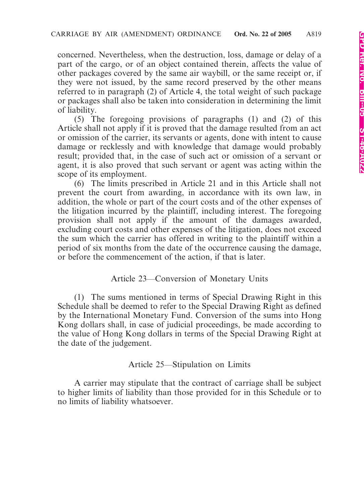concerned. Nevertheless, when the destruction, loss, damage or delay of a part of the cargo, or of an object contained therein, affects the value of other packages covered by the same air waybill, or the same receipt or, if they were not issued, by the same record preserved by the other means referred to in paragraph (2) of Article 4, the total weight of such package or packages shall also be taken into consideration in determining the limit of liability.

(5) The foregoing provisions of paragraphs (1) and (2) of this Article shall not apply if it is proved that the damage resulted from an act or omission of the carrier, its servants or agents, done with intent to cause damage or recklessly and with knowledge that damage would probably result; provided that, in the case of such act or omission of a servant or agent, it is also proved that such servant or agent was acting within the scope of its employment.

(6) The limits prescribed in Article 21 and in this Article shall not prevent the court from awarding, in accordance with its own law, in addition, the whole or part of the court costs and of the other expenses of the litigation incurred by the plaintiff, including interest. The foregoing provision shall not apply if the amount of the damages awarded, excluding court costs and other expenses of the litigation, does not exceed the sum which the carrier has offered in writing to the plaintiff within a period of six months from the date of the occurrence causing the damage, or before the commencement of the action, if that is later.

### Article 23—Conversion of Monetary Units

(1) The sums mentioned in terms of Special Drawing Right in this Schedule shall be deemed to refer to the Special Drawing Right as defined by the International Monetary Fund. Conversion of the sums into Hong Kong dollars shall, in case of judicial proceedings, be made according to the value of Hong Kong dollars in terms of the Special Drawing Right at the date of the judgement.

### Article 25—Stipulation on Limits

A carrier may stipulate that the contract of carriage shall be subject to higher limits of liability than those provided for in this Schedule or to no limits of liability whatsoever.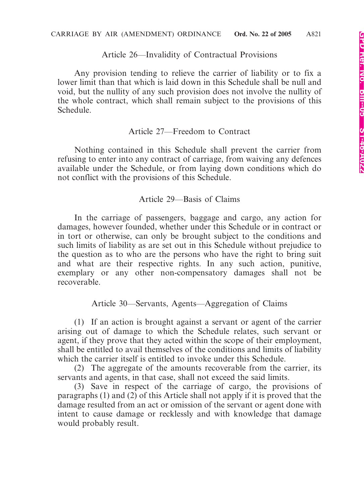#### Article 26—Invalidity of Contractual Provisions

Any provision tending to relieve the carrier of liability or to fix a lower limit than that which is laid down in this Schedule shall be null and void, but the nullity of any such provision does not involve the nullity of the whole contract, which shall remain subject to the provisions of this Schedule.

#### Article 27—Freedom to Contract

Nothing contained in this Schedule shall prevent the carrier from refusing to enter into any contract of carriage, from waiving any defences available under the Schedule, or from laying down conditions which do not conflict with the provisions of this Schedule.

#### Article 29—Basis of Claims

In the carriage of passengers, baggage and cargo, any action for damages, however founded, whether under this Schedule or in contract or in tort or otherwise, can only be brought subject to the conditions and such limits of liability as are set out in this Schedule without prejudice to the question as to who are the persons who have the right to bring suit and what are their respective rights. In any such action, punitive, exemplary or any other non-compensatory damages shall not be recoverable.

Article 30—Servants, Agents—Aggregation of Claims

(1) If an action is brought against a servant or agent of the carrier arising out of damage to which the Schedule relates, such servant or agent, if they prove that they acted within the scope of their employment, shall be entitled to avail themselves of the conditions and limits of liability which the carrier itself is entitled to invoke under this Schedule.

(2) The aggregate of the amounts recoverable from the carrier, its servants and agents, in that case, shall not exceed the said limits.

(3) Save in respect of the carriage of cargo, the provisions of paragraphs (1) and (2) of this Article shall not apply if it is proved that the damage resulted from an act or omission of the servant or agent done with intent to cause damage or recklessly and with knowledge that damage would probably result.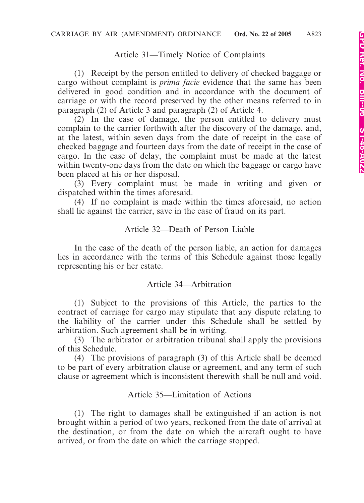### Article 31—Timely Notice of Complaints

(1) Receipt by the person entitled to delivery of checked baggage or cargo without complaint is *prima facie* evidence that the same has been delivered in good condition and in accordance with the document of carriage or with the record preserved by the other means referred to in paragraph (2) of Article 3 and paragraph (2) of Article 4.

(2) In the case of damage, the person entitled to delivery must complain to the carrier forthwith after the discovery of the damage, and, at the latest, within seven days from the date of receipt in the case of checked baggage and fourteen days from the date of receipt in the case of cargo. In the case of delay, the complaint must be made at the latest within twenty-one days from the date on which the baggage or cargo have been placed at his or her disposal.

(3) Every complaint must be made in writing and given or dispatched within the times aforesaid.

(4) If no complaint is made within the times aforesaid, no action shall lie against the carrier, save in the case of fraud on its part.

#### Article 32—Death of Person Liable

In the case of the death of the person liable, an action for damages lies in accordance with the terms of this Schedule against those legally representing his or her estate.

#### Article 34—Arbitration

(1) Subject to the provisions of this Article, the parties to the contract of carriage for cargo may stipulate that any dispute relating to the liability of the carrier under this Schedule shall be settled by arbitration. Such agreement shall be in writing.

(3) The arbitrator or arbitration tribunal shall apply the provisions of this Schedule.

(4) The provisions of paragraph (3) of this Article shall be deemed to be part of every arbitration clause or agreement, and any term of such clause or agreement which is inconsistent therewith shall be null and void.

### Article 35—Limitation of Actions

(1) The right to damages shall be extinguished if an action is not brought within a period of two years, reckoned from the date of arrival at the destination, or from the date on which the aircraft ought to have arrived, or from the date on which the carriage stopped.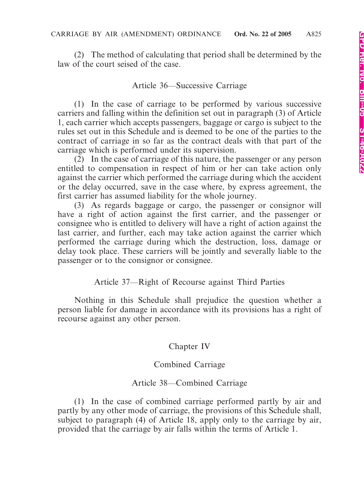(2) The method of calculating that period shall be determined by the law of the court seised of the case.

### Article 36—Successive Carriage

(1) In the case of carriage to be performed by various successive carriers and falling within the definition set out in paragraph (3) of Article 1, each carrier which accepts passengers, baggage or cargo is subject to the rules set out in this Schedule and is deemed to be one of the parties to the contract of carriage in so far as the contract deals with that part of the carriage which is performed under its supervision.

(2) In the case of carriage of this nature, the passenger or any person entitled to compensation in respect of him or her can take action only against the carrier which performed the carriage during which the accident or the delay occurred, save in the case where, by express agreement, the first carrier has assumed liability for the whole journey.

(3) As regards baggage or cargo, the passenger or consignor will have a right of action against the first carrier, and the passenger or consignee who is entitled to delivery will have a right of action against the last carrier, and further, each may take action against the carrier which performed the carriage during which the destruction, loss, damage or delay took place. These carriers will be jointly and severally liable to the passenger or to the consignor or consignee.

Article 37—Right of Recourse against Third Parties

Nothing in this Schedule shall prejudice the question whether a person liable for damage in accordance with its provisions has a right of recourse against any other person.

# Chapter IV

# Combined Carriage

### Article 38—Combined Carriage

(1) In the case of combined carriage performed partly by air and partly by any other mode of carriage, the provisions of this Schedule shall, subject to paragraph (4) of Article 18, apply only to the carriage by air, provided that the carriage by air falls within the terms of Article 1.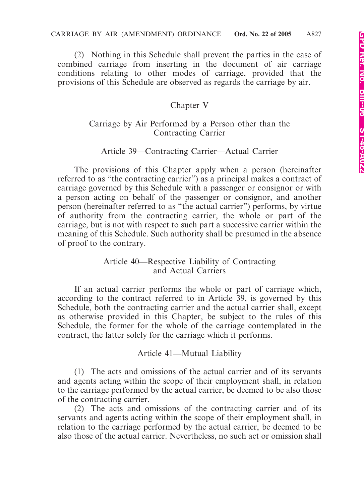(2) Nothing in this Schedule shall prevent the parties in the case of combined carriage from inserting in the document of air carriage conditions relating to other modes of carriage, provided that the provisions of this Schedule are observed as regards the carriage by air.

#### Chapter V

### Carriage by Air Performed by a Person other than the Contracting Carrier

#### Article 39—Contracting Carrier—Actual Carrier

The provisions of this Chapter apply when a person (hereinafter referred to as "the contracting carrier") as a principal makes a contract of carriage governed by this Schedule with a passenger or consignor or with a person acting on behalf of the passenger or consignor, and another person (hereinafter referred to as "the actual carrier") performs, by virtue of authority from the contracting carrier, the whole or part of the carriage, but is not with respect to such part a successive carrier within the meaning of this Schedule. Such authority shall be presumed in the absence of proof to the contrary.

### Article 40—Respective Liability of Contracting and Actual Carriers

If an actual carrier performs the whole or part of carriage which, according to the contract referred to in Article 39, is governed by this Schedule, both the contracting carrier and the actual carrier shall, except as otherwise provided in this Chapter, be subject to the rules of this Schedule, the former for the whole of the carriage contemplated in the contract, the latter solely for the carriage which it performs.

#### Article 41—Mutual Liability

(1) The acts and omissions of the actual carrier and of its servants and agents acting within the scope of their employment shall, in relation to the carriage performed by the actual carrier, be deemed to be also those of the contracting carrier.

(2) The acts and omissions of the contracting carrier and of its servants and agents acting within the scope of their employment shall, in relation to the carriage performed by the actual carrier, be deemed to be also those of the actual carrier. Nevertheless, no such act or omission shall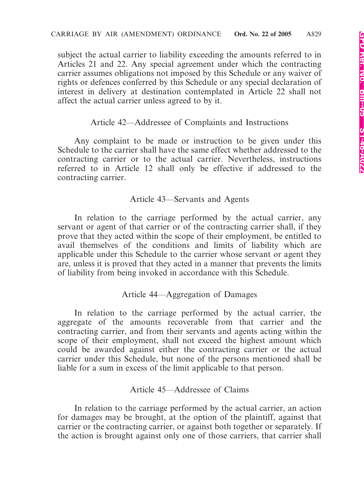subject the actual carrier to liability exceeding the amounts referred to in Articles 21 and 22. Any special agreement under which the contracting carrier assumes obligations not imposed by this Schedule or any waiver of rights or defences conferred by this Schedule or any special declaration of interest in delivery at destination contemplated in Article 22 shall not affect the actual carrier unless agreed to by it.

### Article 42—Addressee of Complaints and Instructions

Any complaint to be made or instruction to be given under this Schedule to the carrier shall have the same effect whether addressed to the contracting carrier or to the actual carrier. Nevertheless, instructions referred to in Article 12 shall only be effective if addressed to the contracting carrier.

### Article 43—Servants and Agents

In relation to the carriage performed by the actual carrier, any servant or agent of that carrier or of the contracting carrier shall, if they prove that they acted within the scope of their employment, be entitled to avail themselves of the conditions and limits of liability which are applicable under this Schedule to the carrier whose servant or agent they are, unless it is proved that they acted in a manner that prevents the limits of liability from being invoked in accordance with this Schedule.

### Article 44—Aggregation of Damages

In relation to the carriage performed by the actual carrier, the aggregate of the amounts recoverable from that carrier and the contracting carrier, and from their servants and agents acting within the scope of their employment, shall not exceed the highest amount which could be awarded against either the contracting carrier or the actual carrier under this Schedule, but none of the persons mentioned shall be liable for a sum in excess of the limit applicable to that person.

### Article 45—Addressee of Claims

In relation to the carriage performed by the actual carrier, an action for damages may be brought, at the option of the plaintiff, against that carrier or the contracting carrier, or against both together or separately. If the action is brought against only one of those carriers, that carrier shall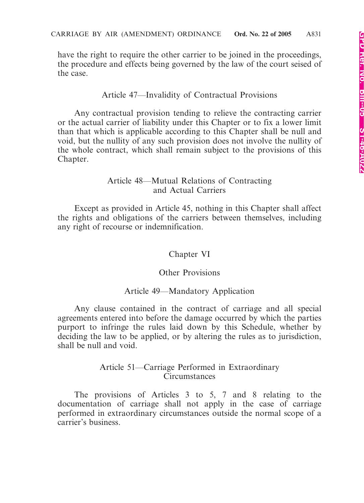have the right to require the other carrier to be joined in the proceedings, the procedure and effects being governed by the law of the court seised of the case.

#### Article 47—Invalidity of Contractual Provisions

Any contractual provision tending to relieve the contracting carrier or the actual carrier of liability under this Chapter or to fix a lower limit than that which is applicable according to this Chapter shall be null and void, but the nullity of any such provision does not involve the nullity of the whole contract, which shall remain subject to the provisions of this Chapter.

### Article 48—Mutual Relations of Contracting and Actual Carriers

Except as provided in Article 45, nothing in this Chapter shall affect the rights and obligations of the carriers between themselves, including any right of recourse or indemnification.

### Chapter VI

### Other Provisions

Article 49—Mandatory Application

Any clause contained in the contract of carriage and all special agreements entered into before the damage occurred by which the parties purport to infringe the rules laid down by this Schedule, whether by deciding the law to be applied, or by altering the rules as to jurisdiction, shall be null and void.

# Article 51—Carriage Performed in Extraordinary Circumstances

The provisions of Articles 3 to 5, 7 and 8 relating to the documentation of carriage shall not apply in the case of carriage performed in extraordinary circumstances outside the normal scope of a carrier's business.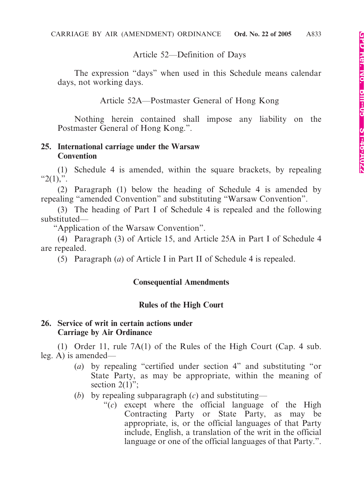### Article 52—Definition of Days

The expression "days" when used in this Schedule means calendar days, not working days.

Article 52A—Postmaster General of Hong Kong

Nothing herein contained shall impose any liability on the Postmaster General of Hong Kong.".

### **25. International carriage under the Warsaw Convention**

(1) Schedule 4 is amended, within the square brackets, by repealing " $2(1)$ ,".

(2) Paragraph (1) below the heading of Schedule 4 is amended by repealing "amended Convention" and substituting "Warsaw Convention".

(3) The heading of Part I of Schedule 4 is repealed and the following substituted—

"Application of the Warsaw Convention".

(4) Paragraph (3) of Article 15, and Article 25A in Part I of Schedule 4 are repealed.

(5) Paragraph (*a*) of Article I in Part II of Schedule 4 is repealed.

#### **Consequential Amendments**

### **Rules of the High Court**

### **26. Service of writ in certain actions under Carriage by Air Ordinance**

(1) Order 11, rule 7A(1) of the Rules of the High Court (Cap. 4 sub. leg. A) is amended—

- (*a*) by repealing "certified under section 4" and substituting "or State Party, as may be appropriate, within the meaning of section  $2(1)$ ";
- (*b*) by repealing subparagraph (*c*) and substituting—
	- "(*c*) except where the official language of the High Contracting Party or State Party, as may be appropriate, is, or the official languages of that Party include, English, a translation of the writ in the official language or one of the official languages of that Party.".